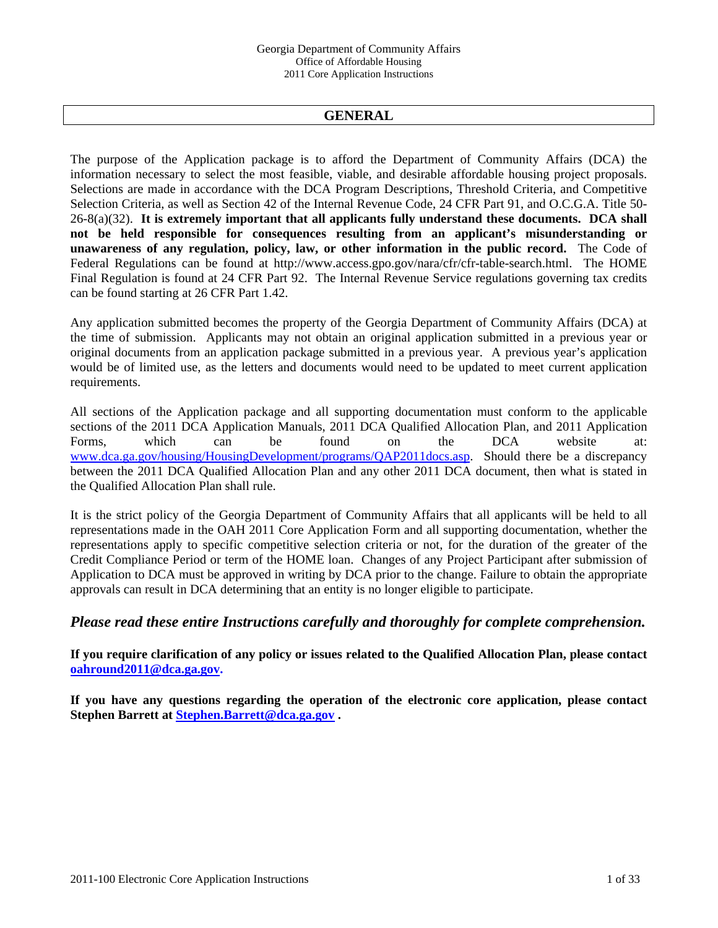# **GENERAL**

The purpose of the Application package is to afford the Department of Community Affairs (DCA) the information necessary to select the most feasible, viable, and desirable affordable housing project proposals. Selections are made in accordance with the DCA Program Descriptions, Threshold Criteria, and Competitive Selection Criteria, as well as Section 42 of the Internal Revenue Code, 24 CFR Part 91, and O.C.G.A. Title 50- 26-8(a)(32). **It is extremely important that all applicants fully understand these documents. DCA shall not be held responsible for consequences resulting from an applicant's misunderstanding or unawareness of any regulation, policy, law, or other information in the public record.** The Code of Federal Regulations can be found at http://www.access.gpo.gov/nara/cfr/cfr-table-search.html. The HOME Final Regulation is found at 24 CFR Part 92. The Internal Revenue Service regulations governing tax credits can be found starting at 26 CFR Part 1.42.

Any application submitted becomes the property of the Georgia Department of Community Affairs (DCA) at the time of submission. Applicants may not obtain an original application submitted in a previous year or original documents from an application package submitted in a previous year. A previous year's application would be of limited use, as the letters and documents would need to be updated to meet current application requirements.

All sections of the Application package and all supporting documentation must conform to the applicable sections of the 2011 DCA Application Manuals, 2011 DCA Qualified Allocation Plan, and 2011 Application Forms, which can be found on the DCA website at: www.dca.ga.gov/housing/HousingDevelopment/programs/QAP2011docs.asp. Should there be a discrepancy between the 2011 DCA Qualified Allocation Plan and any other 2011 DCA document, then what is stated in the Qualified Allocation Plan shall rule.

It is the strict policy of the Georgia Department of Community Affairs that all applicants will be held to all representations made in the OAH 2011 Core Application Form and all supporting documentation, whether the representations apply to specific competitive selection criteria or not, for the duration of the greater of the Credit Compliance Period or term of the HOME loan. Changes of any Project Participant after submission of Application to DCA must be approved in writing by DCA prior to the change. Failure to obtain the appropriate approvals can result in DCA determining that an entity is no longer eligible to participate.

# *Please read these entire Instructions carefully and thoroughly for complete comprehension.*

**If you require clarification of any policy or issues related to the Qualified Allocation Plan, please contact oahround2011@dca.ga.gov.** 

**If you have any questions regarding the operation of the electronic core application, please contact Stephen Barrett at Stephen.Barrett@dca.ga.gov .**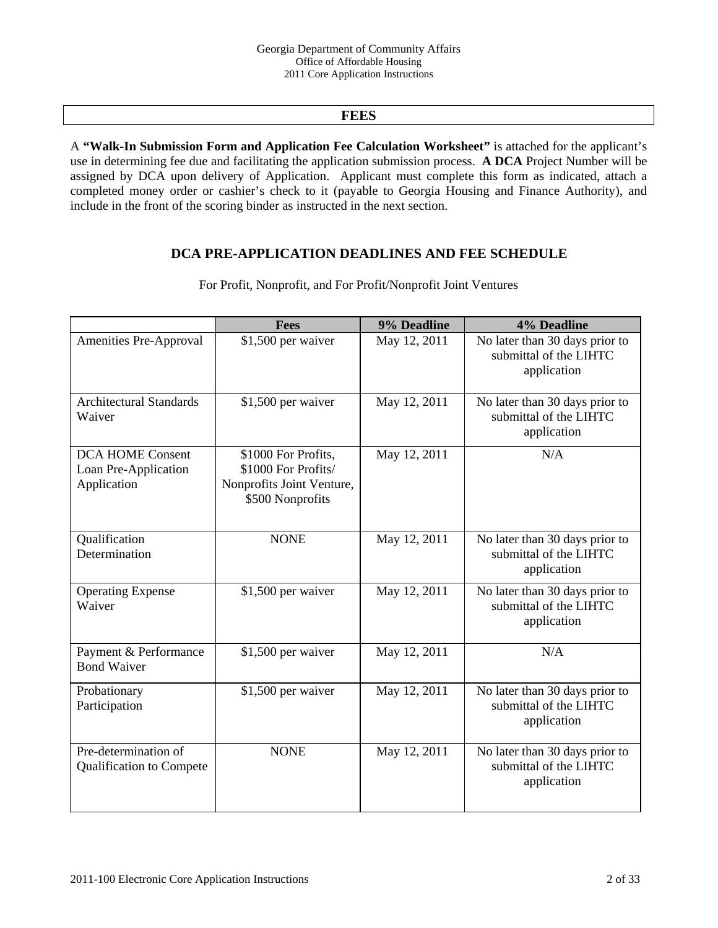# **FEES**

A **"Walk-In Submission Form and Application Fee Calculation Worksheet"** is attached for the applicant's use in determining fee due and facilitating the application submission process. **A DCA** Project Number will be assigned by DCA upon delivery of Application. Applicant must complete this form as indicated, attach a completed money order or cashier's check to it (payable to Georgia Housing and Finance Authority), and include in the front of the scoring binder as instructed in the next section.

# **DCA PRE-APPLICATION DEADLINES AND FEE SCHEDULE**

|                                                                | 9% Deadline<br><b>Fees</b>                                                                  |              | 4% Deadline                                                             |  |
|----------------------------------------------------------------|---------------------------------------------------------------------------------------------|--------------|-------------------------------------------------------------------------|--|
| Amenities Pre-Approval                                         | \$1,500 per waiver                                                                          | May 12, 2011 | No later than 30 days prior to<br>submittal of the LIHTC<br>application |  |
| <b>Architectural Standards</b><br>Waiver                       | \$1,500 per waiver                                                                          | May 12, 2011 | No later than 30 days prior to<br>submittal of the LIHTC<br>application |  |
| <b>DCA HOME Consent</b><br>Loan Pre-Application<br>Application | \$1000 For Profits,<br>\$1000 For Profits/<br>Nonprofits Joint Venture,<br>\$500 Nonprofits | May 12, 2011 | N/A                                                                     |  |
| Qualification<br>Determination                                 | <b>NONE</b>                                                                                 | May 12, 2011 | No later than 30 days prior to<br>submittal of the LIHTC<br>application |  |
| <b>Operating Expense</b><br>Waiver                             | \$1,500 per waiver                                                                          | May 12, 2011 | No later than 30 days prior to<br>submittal of the LIHTC<br>application |  |
| Payment & Performance<br><b>Bond Waiver</b>                    | \$1,500 per waiver                                                                          | May 12, 2011 | N/A                                                                     |  |
| Probationary<br>Participation                                  | \$1,500 per waiver                                                                          | May 12, 2011 | No later than 30 days prior to<br>submittal of the LIHTC<br>application |  |
| Pre-determination of<br><b>Qualification to Compete</b>        | <b>NONE</b>                                                                                 | May 12, 2011 | No later than 30 days prior to<br>submittal of the LIHTC<br>application |  |

For Profit, Nonprofit, and For Profit/Nonprofit Joint Ventures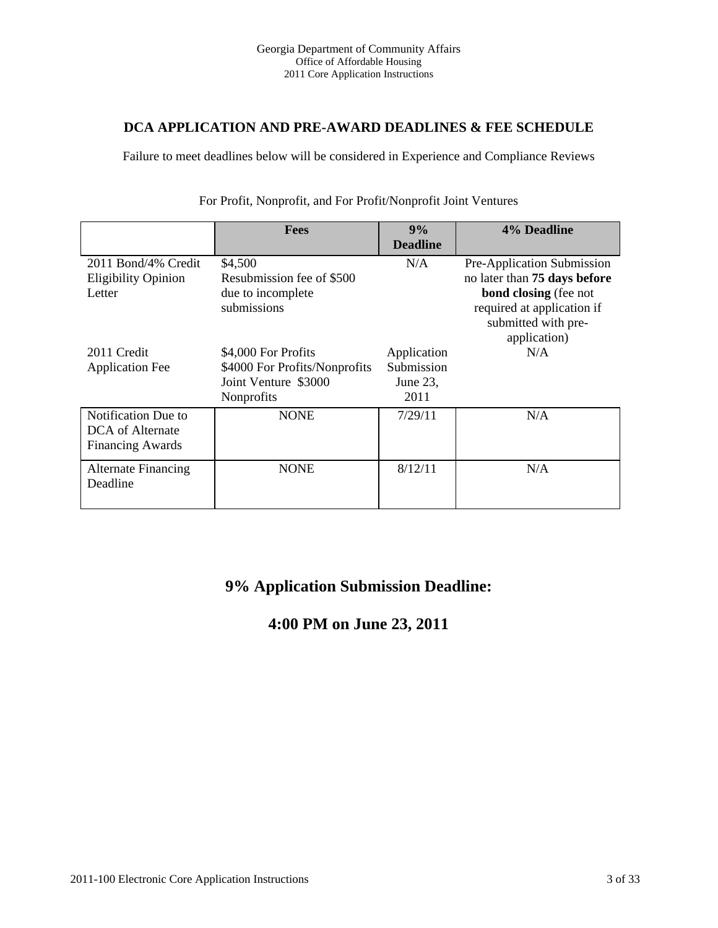# **DCA APPLICATION AND PRE-AWARD DEADLINES & FEE SCHEDULE**

Failure to meet deadlines below will be considered in Experience and Compliance Reviews

|                            | <b>Fees</b>                      | 9%              | 4% Deadline                                                |  |
|----------------------------|----------------------------------|-----------------|------------------------------------------------------------|--|
|                            |                                  | <b>Deadline</b> |                                                            |  |
| 2011 Bond/4% Credit        | \$4,500                          | N/A             | Pre-Application Submission                                 |  |
| <b>Eligibility Opinion</b> | Resubmission fee of \$500        |                 | no later than 75 days before                               |  |
| Letter                     | due to incomplete<br>submissions |                 | <b>bond closing</b> (fee not<br>required at application if |  |
|                            |                                  |                 | submitted with pre-                                        |  |
|                            |                                  |                 | application)                                               |  |
| 2011 Credit                | \$4,000 For Profits              | Application     | N/A                                                        |  |
| <b>Application Fee</b>     | \$4000 For Profits/Nonprofits    | Submission      |                                                            |  |
|                            | Joint Venture \$3000             | June $23$ ,     |                                                            |  |
|                            | Nonprofits                       | 2011            |                                                            |  |
| Notification Due to        | <b>NONE</b>                      | 7/29/11         | N/A                                                        |  |
| DCA of Alternate           |                                  |                 |                                                            |  |
| <b>Financing Awards</b>    |                                  |                 |                                                            |  |
| <b>Alternate Financing</b> | <b>NONE</b>                      | 8/12/11         | N/A                                                        |  |
| Deadline                   |                                  |                 |                                                            |  |
|                            |                                  |                 |                                                            |  |

For Profit, Nonprofit, and For Profit/Nonprofit Joint Ventures

# **9% Application Submission Deadline:**

# **4:00 PM on June 23, 2011**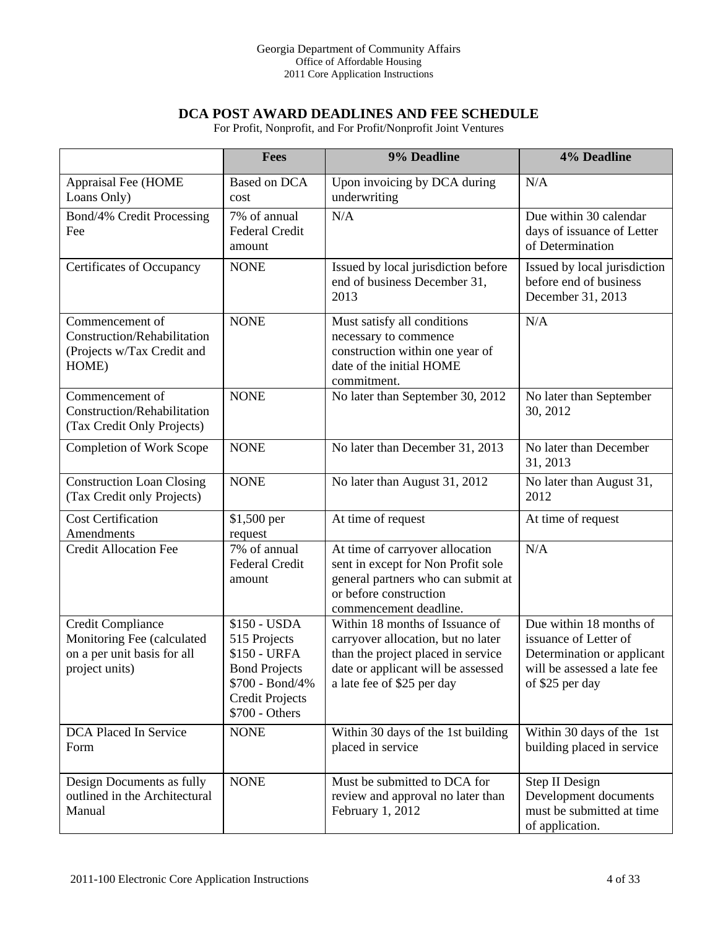# **DCA POST AWARD DEADLINES AND FEE SCHEDULE**

For Profit, Nonprofit, and For Profit/Nonprofit Joint Ventures

|                                                                                                  | Fees                                                                                                                                | 9% Deadline                                                                                                                                                                     | 4% Deadline                                                                                                                      |
|--------------------------------------------------------------------------------------------------|-------------------------------------------------------------------------------------------------------------------------------------|---------------------------------------------------------------------------------------------------------------------------------------------------------------------------------|----------------------------------------------------------------------------------------------------------------------------------|
| Appraisal Fee (HOME<br>Loans Only)                                                               | Based on DCA<br>cost                                                                                                                | Upon invoicing by DCA during<br>underwriting                                                                                                                                    | N/A                                                                                                                              |
| Bond/4% Credit Processing<br>Fee                                                                 | 7% of annual<br><b>Federal Credit</b><br>amount                                                                                     | N/A                                                                                                                                                                             | Due within 30 calendar<br>days of issuance of Letter<br>of Determination                                                         |
| <b>Certificates of Occupancy</b>                                                                 | <b>NONE</b>                                                                                                                         | Issued by local jurisdiction before<br>end of business December 31,<br>2013                                                                                                     | Issued by local jurisdiction<br>before end of business<br>December 31, 2013                                                      |
| Commencement of<br>Construction/Rehabilitation<br>(Projects w/Tax Credit and<br>HOME)            | <b>NONE</b>                                                                                                                         | Must satisfy all conditions<br>necessary to commence<br>construction within one year of<br>date of the initial HOME<br>commitment.                                              | N/A                                                                                                                              |
| Commencement of<br>Construction/Rehabilitation<br>(Tax Credit Only Projects)                     | <b>NONE</b>                                                                                                                         | No later than September 30, 2012                                                                                                                                                | No later than September<br>30, 2012                                                                                              |
| <b>Completion of Work Scope</b>                                                                  | <b>NONE</b>                                                                                                                         | No later than December 31, 2013                                                                                                                                                 | No later than December<br>31, 2013                                                                                               |
| <b>Construction Loan Closing</b><br>(Tax Credit only Projects)                                   | <b>NONE</b>                                                                                                                         | No later than August 31, 2012                                                                                                                                                   | No later than August 31,<br>2012                                                                                                 |
| <b>Cost Certification</b><br>Amendments                                                          | \$1,500 per<br>request                                                                                                              | At time of request                                                                                                                                                              | At time of request                                                                                                               |
| <b>Credit Allocation Fee</b>                                                                     | 7% of annual<br>Federal Credit<br>amount                                                                                            | At time of carryover allocation<br>sent in except for Non Profit sole<br>general partners who can submit at<br>or before construction<br>commencement deadline.                 | N/A                                                                                                                              |
| Credit Compliance<br>Monitoring Fee (calculated<br>on a per unit basis for all<br>project units) | \$150 - USDA<br>515 Projects<br>\$150 - URFA<br><b>Bond Projects</b><br>\$700 - Bond/4%<br><b>Credit Projects</b><br>\$700 - Others | Within 18 months of Issuance of<br>carryover allocation, but no later<br>than the project placed in service<br>date or applicant will be assessed<br>a late fee of \$25 per day | Due within 18 months of<br>issuance of Letter of<br>Determination or applicant<br>will be assessed a late fee<br>of \$25 per day |
| DCA Placed In Service<br>Form                                                                    | <b>NONE</b>                                                                                                                         | Within 30 days of the 1st building<br>placed in service                                                                                                                         | Within 30 days of the 1st<br>building placed in service                                                                          |
| Design Documents as fully<br>outlined in the Architectural<br>Manual                             | <b>NONE</b>                                                                                                                         | Must be submitted to DCA for<br>review and approval no later than<br>February 1, 2012                                                                                           | Step II Design<br>Development documents<br>must be submitted at time<br>of application.                                          |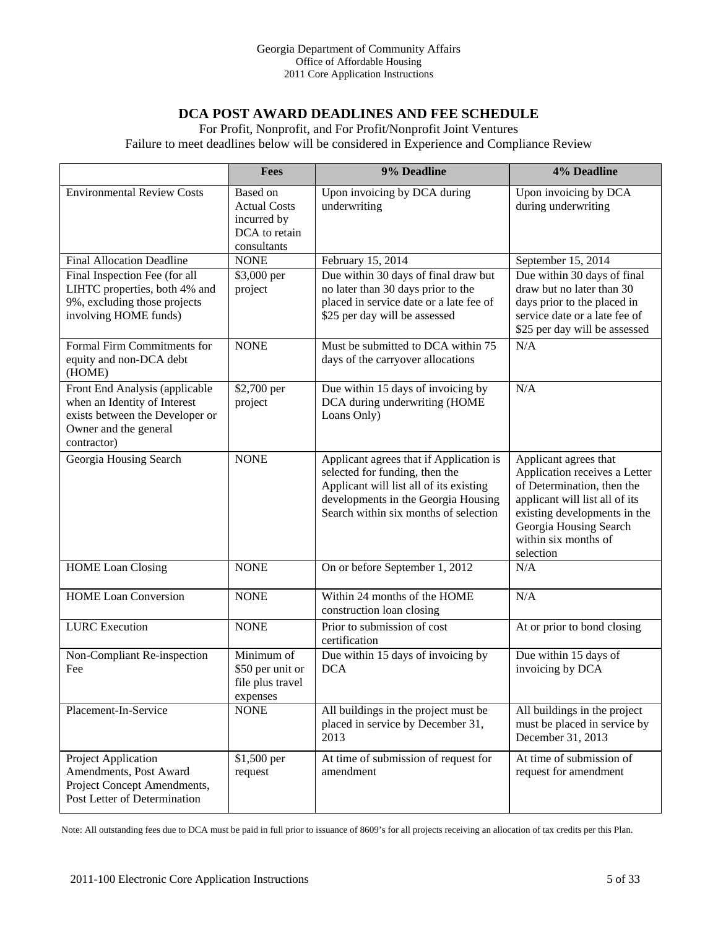# **DCA POST AWARD DEADLINES AND FEE SCHEDULE**

For Profit, Nonprofit, and For Profit/Nonprofit Joint Ventures

Failure to meet deadlines below will be considered in Experience and Compliance Review

|                                                                                                                                           | Fees                                                                           | 9% Deadline                                                                                                                                                                                          | 4% Deadline                                                                                                                                                                                                           |
|-------------------------------------------------------------------------------------------------------------------------------------------|--------------------------------------------------------------------------------|------------------------------------------------------------------------------------------------------------------------------------------------------------------------------------------------------|-----------------------------------------------------------------------------------------------------------------------------------------------------------------------------------------------------------------------|
| <b>Environmental Review Costs</b>                                                                                                         | Based on<br><b>Actual Costs</b><br>incurred by<br>DCA to retain<br>consultants | Upon invoicing by DCA during<br>underwriting                                                                                                                                                         | Upon invoicing by DCA<br>during underwriting                                                                                                                                                                          |
| <b>Final Allocation Deadline</b>                                                                                                          | <b>NONE</b>                                                                    | February 15, 2014                                                                                                                                                                                    | September 15, 2014                                                                                                                                                                                                    |
| Final Inspection Fee (for all<br>LIHTC properties, both 4% and<br>9%, excluding those projects<br>involving HOME funds)                   | \$3,000 per<br>project                                                         | Due within 30 days of final draw but<br>no later than 30 days prior to the<br>placed in service date or a late fee of<br>\$25 per day will be assessed                                               | Due within 30 days of final<br>draw but no later than 30<br>days prior to the placed in<br>service date or a late fee of<br>\$25 per day will be assessed                                                             |
| Formal Firm Commitments for<br>equity and non-DCA debt<br>(HOME)                                                                          | <b>NONE</b>                                                                    | Must be submitted to DCA within 75<br>days of the carryover allocations                                                                                                                              | N/A                                                                                                                                                                                                                   |
| Front End Analysis (applicable<br>when an Identity of Interest<br>exists between the Developer or<br>Owner and the general<br>contractor) | \$2,700 per<br>project                                                         | Due within 15 days of invoicing by<br>DCA during underwriting (HOME<br>Loans Only)                                                                                                                   | N/A                                                                                                                                                                                                                   |
| Georgia Housing Search                                                                                                                    | <b>NONE</b>                                                                    | Applicant agrees that if Application is<br>selected for funding, then the<br>Applicant will list all of its existing<br>developments in the Georgia Housing<br>Search within six months of selection | Applicant agrees that<br>Application receives a Letter<br>of Determination, then the<br>applicant will list all of its<br>existing developments in the<br>Georgia Housing Search<br>within six months of<br>selection |
| <b>HOME Loan Closing</b>                                                                                                                  | <b>NONE</b>                                                                    | On or before September 1, 2012                                                                                                                                                                       | N/A                                                                                                                                                                                                                   |
| <b>HOME</b> Loan Conversion                                                                                                               | <b>NONE</b>                                                                    | Within 24 months of the HOME<br>construction loan closing                                                                                                                                            | N/A                                                                                                                                                                                                                   |
| <b>LURC</b> Execution                                                                                                                     | <b>NONE</b>                                                                    | Prior to submission of cost<br>certification                                                                                                                                                         | At or prior to bond closing                                                                                                                                                                                           |
| Non-Compliant Re-inspection<br>Fee                                                                                                        | Minimum of<br>\$50 per unit or<br>file plus travel<br>expenses                 | Due within 15 days of invoicing by<br><b>DCA</b>                                                                                                                                                     | Due within 15 days of<br>invoicing by DCA                                                                                                                                                                             |
| Placement-In-Service                                                                                                                      | <b>NONE</b>                                                                    | All buildings in the project must be<br>placed in service by December 31,<br>2013                                                                                                                    | All buildings in the project<br>must be placed in service by<br>December 31, 2013                                                                                                                                     |
| Project Application<br>Amendments, Post Award<br>Project Concept Amendments,<br>Post Letter of Determination                              | \$1,500 per<br>request                                                         | At time of submission of request for<br>amendment                                                                                                                                                    | At time of submission of<br>request for amendment                                                                                                                                                                     |

Note: All outstanding fees due to DCA must be paid in full prior to issuance of 8609's for all projects receiving an allocation of tax credits per this Plan.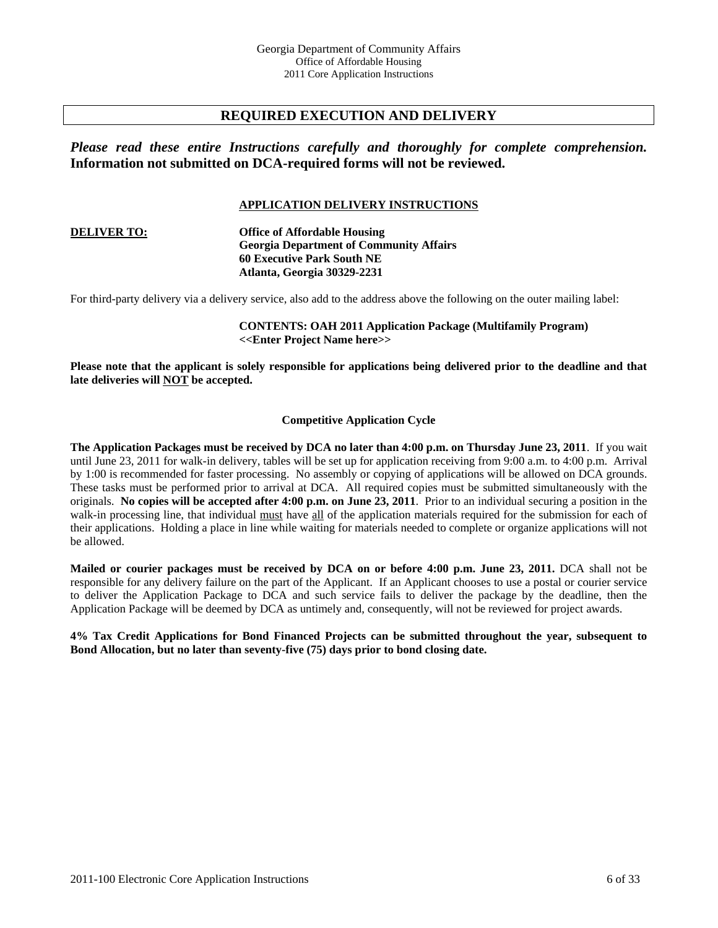# **REQUIRED EXECUTION AND DELIVERY**

*Please read these entire Instructions carefully and thoroughly for complete comprehension.*  **Information not submitted on DCA-required forms will not be reviewed.**

#### **APPLICATION DELIVERY INSTRUCTIONS**

**DELIVER TO: Office of Affordable Housing Georgia Department of Community Affairs 60 Executive Park South NE Atlanta, Georgia 30329-2231** 

For third-party delivery via a delivery service, also add to the address above the following on the outer mailing label:

**CONTENTS: OAH 2011 Application Package (Multifamily Program) <<Enter Project Name here>>** 

**Please note that the applicant is solely responsible for applications being delivered prior to the deadline and that late deliveries will NOT be accepted.** 

#### **Competitive Application Cycle**

**The Application Packages must be received by DCA no later than 4:00 p.m. on Thursday June 23, 2011**. If you wait until June 23, 2011 for walk-in delivery, tables will be set up for application receiving from 9:00 a.m. to 4:00 p.m. Arrival by 1:00 is recommended for faster processing. No assembly or copying of applications will be allowed on DCA grounds. These tasks must be performed prior to arrival at DCA. All required copies must be submitted simultaneously with the originals. **No copies will be accepted after 4:00 p.m. on June 23, 2011**. Prior to an individual securing a position in the walk-in processing line, that individual must have all of the application materials required for the submission for each of their applications. Holding a place in line while waiting for materials needed to complete or organize applications will not be allowed.

**Mailed or courier packages must be received by DCA on or before 4:00 p.m. June 23, 2011.** DCA shall not be responsible for any delivery failure on the part of the Applicant. If an Applicant chooses to use a postal or courier service to deliver the Application Package to DCA and such service fails to deliver the package by the deadline, then the Application Package will be deemed by DCA as untimely and, consequently, will not be reviewed for project awards.

**4% Tax Credit Applications for Bond Financed Projects can be submitted throughout the year, subsequent to Bond Allocation, but no later than seventy-five (75) days prior to bond closing date.**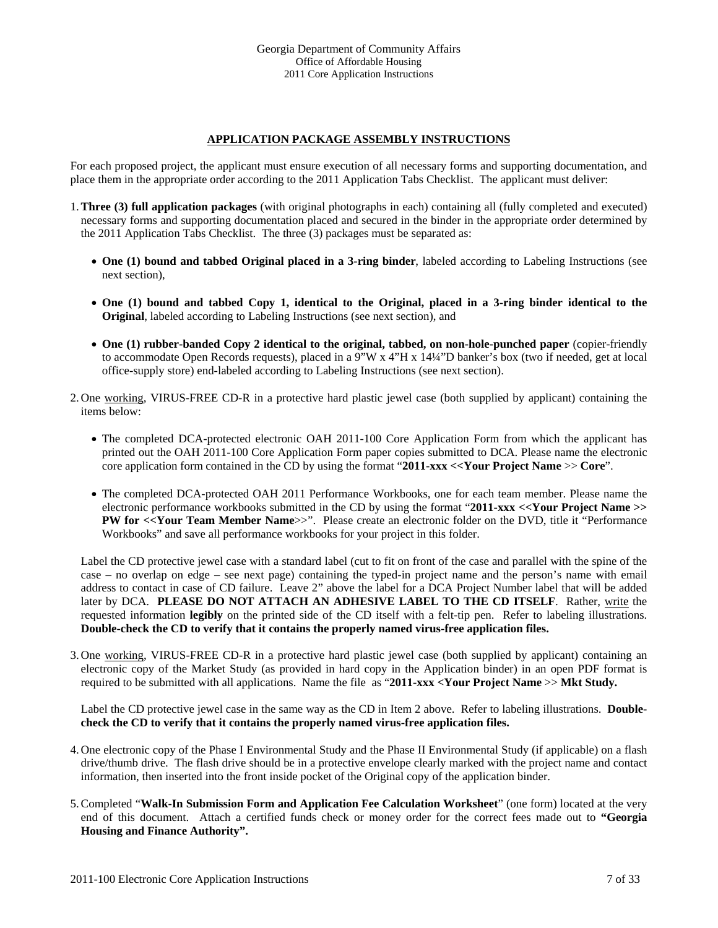## **APPLICATION PACKAGE ASSEMBLY INSTRUCTIONS**

For each proposed project, the applicant must ensure execution of all necessary forms and supporting documentation, and place them in the appropriate order according to the 2011 Application Tabs Checklist. The applicant must deliver:

- 1.**Three (3) full application packages** (with original photographs in each) containing all (fully completed and executed) necessary forms and supporting documentation placed and secured in the binder in the appropriate order determined by the 2011 Application Tabs Checklist. The three (3) packages must be separated as:
	- **One (1) bound and tabbed Original placed in a 3-ring binder**, labeled according to Labeling Instructions (see next section),
	- **One (1) bound and tabbed Copy 1, identical to the Original, placed in a 3-ring binder identical to the Original**, labeled according to Labeling Instructions (see next section), and
	- **One (1) rubber-banded Copy 2 identical to the original, tabbed, on non-hole-punched paper** (copier-friendly to accommodate Open Records requests), placed in a 9"W x 4"H x 14¼"D banker's box (two if needed, get at local office-supply store) end-labeled according to Labeling Instructions (see next section).
- 2. One working, VIRUS-FREE CD-R in a protective hard plastic jewel case (both supplied by applicant) containing the items below:
	- The completed DCA-protected electronic OAH 2011-100 Core Application Form from which the applicant has printed out the OAH 2011-100 Core Application Form paper copies submitted to DCA. Please name the electronic core application form contained in the CD by using the format "**2011-xxx <<Your Project Name** >> **Core**".
	- The completed DCA-protected OAH 2011 Performance Workbooks, one for each team member. Please name the electronic performance workbooks submitted in the CD by using the format "**2011-xxx <<Your Project Name >> PW for <<Your Team Member Name>>".** Please create an electronic folder on the DVD, title it "Performance" Workbooks" and save all performance workbooks for your project in this folder.

Label the CD protective jewel case with a standard label (cut to fit on front of the case and parallel with the spine of the case – no overlap on edge – see next page) containing the typed-in project name and the person's name with email address to contact in case of CD failure. Leave 2" above the label for a DCA Project Number label that will be added later by DCA. **PLEASE DO NOT ATTACH AN ADHESIVE LABEL TO THE CD ITSELF**. Rather, write the requested information **legibly** on the printed side of the CD itself with a felt-tip pen. Refer to labeling illustrations. **Double-check the CD to verify that it contains the properly named virus-free application files.**

3. One working, VIRUS-FREE CD-R in a protective hard plastic jewel case (both supplied by applicant) containing an electronic copy of the Market Study (as provided in hard copy in the Application binder) in an open PDF format is required to be submitted with all applications. Name the file as "**2011-xxx <Your Project Name** >> **Mkt Study.**

Label the CD protective jewel case in the same way as the CD in Item 2 above. Refer to labeling illustrations. **Doublecheck the CD to verify that it contains the properly named virus-free application files.**

- 4. One electronic copy of the Phase I Environmental Study and the Phase II Environmental Study (if applicable) on a flash drive/thumb drive. The flash drive should be in a protective envelope clearly marked with the project name and contact information, then inserted into the front inside pocket of the Original copy of the application binder.
- 5.Completed "**Walk-In Submission Form and Application Fee Calculation Worksheet**" (one form) located at the very end of this document. Attach a certified funds check or money order for the correct fees made out to **"Georgia Housing and Finance Authority".**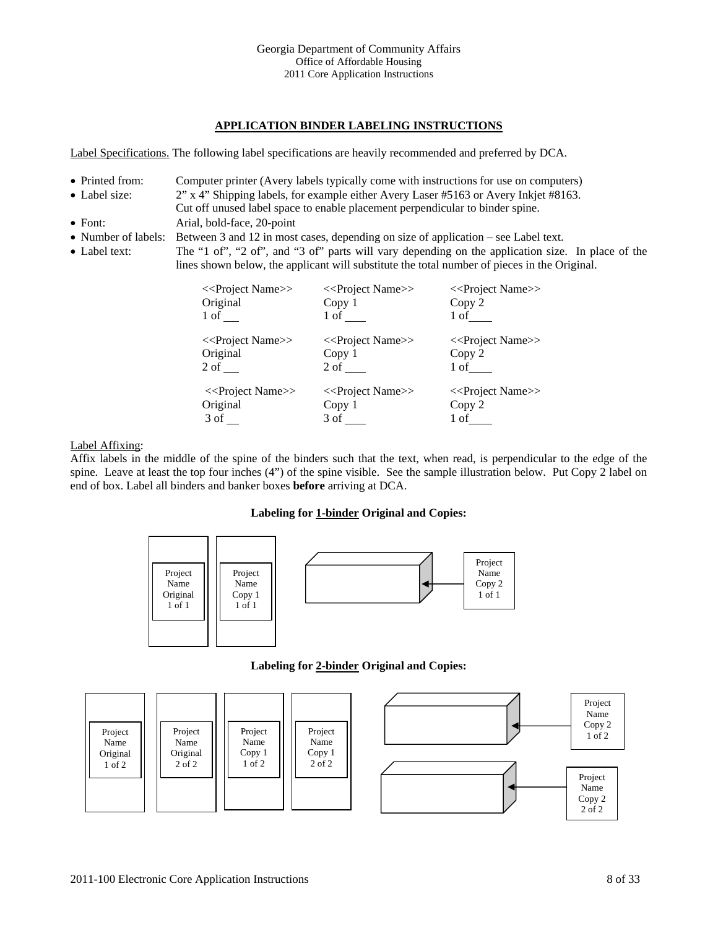## **APPLICATION BINDER LABELING INSTRUCTIONS**

Label Specifications. The following label specifications are heavily recommended and preferred by DCA.

- Printed from: Computer printer (Avery labels typically come with instructions for use on computers)
- Label size: 2" x 4" Shipping labels, for example either Avery Laser #5163 or Avery Inkjet #8163.
- Cut off unused label space to enable placement perpendicular to binder spine. • Font: Arial, bold-face, 20-point
- Number of labels: Between 3 and 12 in most cases, depending on size of application see Label text.
- Label text: The "1 of", "2 of", and "3 of" parts will vary depending on the application size. In place of the lines shown below, the applicant will substitute the total number of pieces in the Original.



#### Label Affixing:

Affix labels in the middle of the spine of the binders such that the text, when read, is perpendicular to the edge of the spine. Leave at least the top four inches (4") of the spine visible. See the sample illustration below. Put Copy 2 label on end of box. Label all binders and banker boxes **before** arriving at DCA.

#### **Labeling for 1-binder Original and Copies:**



#### **Labeling for 2-binder Original and Copies:**

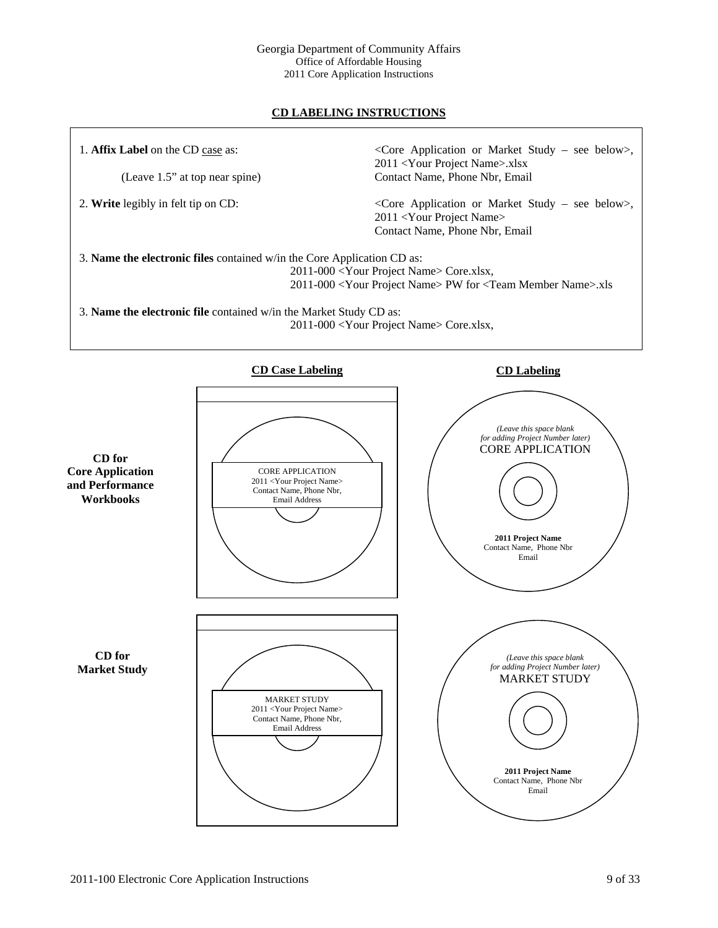#### Georgia Department of Community Affairs Office of Affordable Housing 2011 Core Application Instructions

# **CD LABELING INSTRUCTIONS**

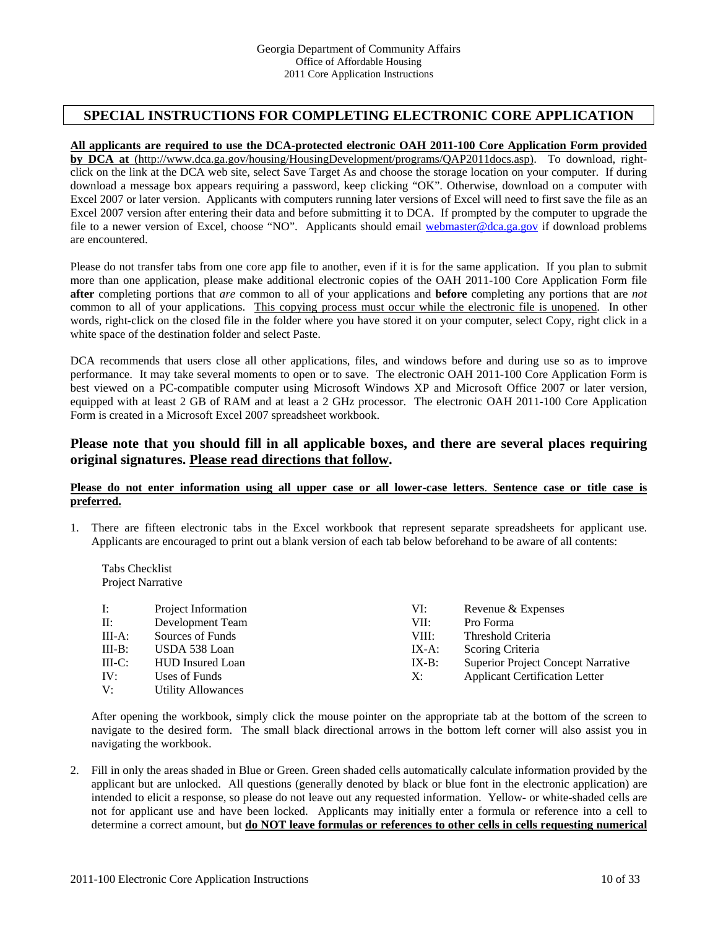# **SPECIAL INSTRUCTIONS FOR COMPLETING ELECTRONIC CORE APPLICATION**

#### **All applicants are required to use the DCA-protected electronic OAH 2011-100 Core Application Form provided**

**by DCA at** (http://www.dca.ga.gov/housing/HousingDevelopment/programs/QAP2011docs.asp). To download, rightclick on the link at the DCA web site, select Save Target As and choose the storage location on your computer. If during download a message box appears requiring a password, keep clicking "OK". Otherwise, download on a computer with Excel 2007 or later version. Applicants with computers running later versions of Excel will need to first save the file as an Excel 2007 version after entering their data and before submitting it to DCA. If prompted by the computer to upgrade the file to a newer version of Excel, choose "NO". Applicants should email webmaster@dca.ga.gov if download problems are encountered.

Please do not transfer tabs from one core app file to another, even if it is for the same application. If you plan to submit more than one application, please make additional electronic copies of the OAH 2011-100 Core Application Form file **after** completing portions that *are* common to all of your applications and **before** completing any portions that are *not* common to all of your applications. This copying process must occur while the electronic file is unopened. In other words, right-click on the closed file in the folder where you have stored it on your computer, select Copy, right click in a white space of the destination folder and select Paste.

DCA recommends that users close all other applications, files, and windows before and during use so as to improve performance. It may take several moments to open or to save. The electronic OAH 2011-100 Core Application Form is best viewed on a PC-compatible computer using Microsoft Windows XP and Microsoft Office 2007 or later version, equipped with at least 2 GB of RAM and at least a 2 GHz processor. The electronic OAH 2011-100 Core Application Form is created in a Microsoft Excel 2007 spreadsheet workbook.

# **Please note that you should fill in all applicable boxes, and there are several places requiring original signatures. Please read directions that follow.**

#### **Please do not enter information using all upper case or all lower-case letters**. **Sentence case or title case is preferred.**

1. There are fifteen electronic tabs in the Excel workbook that represent separate spreadsheets for applicant use. Applicants are encouraged to print out a blank version of each tab below beforehand to be aware of all contents:

Tabs Checklist Project Narrative

| $\Gamma$  | Project Information       | VI:      | Revenue & Expenses                        |
|-----------|---------------------------|----------|-------------------------------------------|
| $\prod$ : | Development Team          | VII:     | Pro Forma                                 |
| $III-A$ : | Sources of Funds          | VIII:    | Threshold Criteria                        |
| $III-B:$  | USDA 538 Loan             | IX-A:    | Scoring Criteria                          |
| $III-C$ : | <b>HUD</b> Insured Loan   | $IX-B$ : | <b>Superior Project Concept Narrative</b> |
| IV:       | Uses of Funds             | X:       | <b>Applicant Certification Letter</b>     |
| V:        | <b>Utility Allowances</b> |          |                                           |

After opening the workbook, simply click the mouse pointer on the appropriate tab at the bottom of the screen to navigate to the desired form. The small black directional arrows in the bottom left corner will also assist you in navigating the workbook.

2. Fill in only the areas shaded in Blue or Green. Green shaded cells automatically calculate information provided by the applicant but are unlocked. All questions (generally denoted by black or blue font in the electronic application) are intended to elicit a response, so please do not leave out any requested information. Yellow- or white-shaded cells are not for applicant use and have been locked. Applicants may initially enter a formula or reference into a cell to determine a correct amount, but **do NOT leave formulas or references to other cells in cells requesting numerical**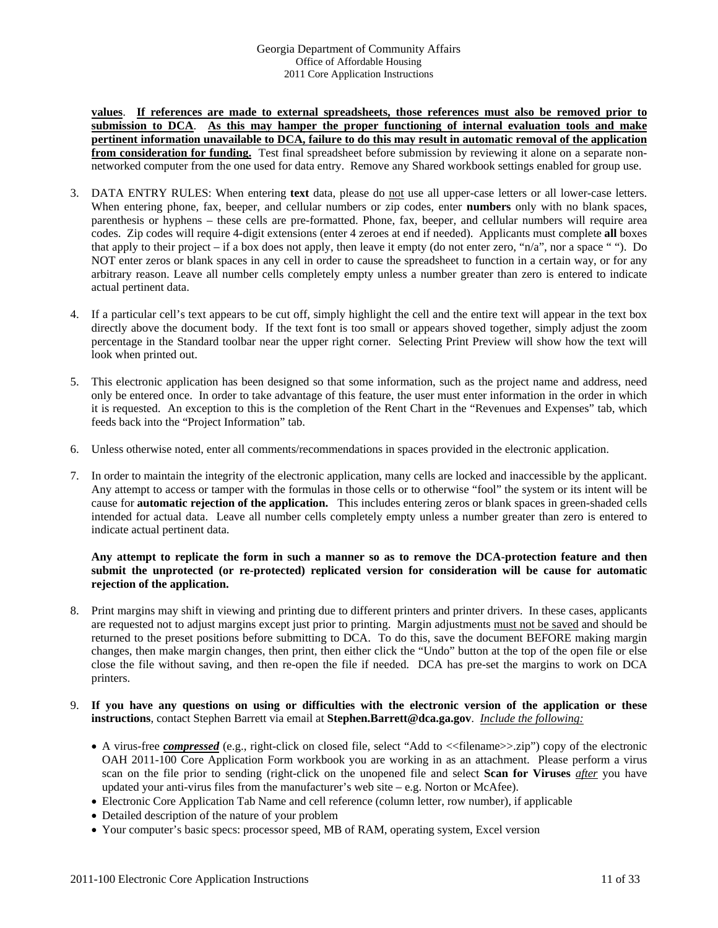**values**. **If references are made to external spreadsheets, those references must also be removed prior to submission to DCA**. **As this may hamper the proper functioning of internal evaluation tools and make pertinent information unavailable to DCA, failure to do this may result in automatic removal of the application from consideration for funding.** Test final spreadsheet before submission by reviewing it alone on a separate nonnetworked computer from the one used for data entry. Remove any Shared workbook settings enabled for group use.

- 3. DATA ENTRY RULES: When entering **text** data, please do not use all upper-case letters or all lower-case letters. When entering phone, fax, beeper, and cellular numbers or zip codes, enter **numbers** only with no blank spaces, parenthesis or hyphens – these cells are pre-formatted. Phone, fax, beeper, and cellular numbers will require area codes. Zip codes will require 4-digit extensions (enter 4 zeroes at end if needed). Applicants must complete **all** boxes that apply to their project – if a box does not apply, then leave it empty (do not enter zero, " $n/a$ ", nor a space ""). Do NOT enter zeros or blank spaces in any cell in order to cause the spreadsheet to function in a certain way, or for any arbitrary reason. Leave all number cells completely empty unless a number greater than zero is entered to indicate actual pertinent data.
- 4. If a particular cell's text appears to be cut off, simply highlight the cell and the entire text will appear in the text box directly above the document body. If the text font is too small or appears shoved together, simply adjust the zoom percentage in the Standard toolbar near the upper right corner. Selecting Print Preview will show how the text will look when printed out.
- 5. This electronic application has been designed so that some information, such as the project name and address, need only be entered once. In order to take advantage of this feature, the user must enter information in the order in which it is requested. An exception to this is the completion of the Rent Chart in the "Revenues and Expenses" tab, which feeds back into the "Project Information" tab.
- 6. Unless otherwise noted, enter all comments/recommendations in spaces provided in the electronic application.
- 7. In order to maintain the integrity of the electronic application, many cells are locked and inaccessible by the applicant. Any attempt to access or tamper with the formulas in those cells or to otherwise "fool" the system or its intent will be cause for **automatic rejection of the application.** This includes entering zeros or blank spaces in green-shaded cells intended for actual data. Leave all number cells completely empty unless a number greater than zero is entered to indicate actual pertinent data.

### **Any attempt to replicate the form in such a manner so as to remove the DCA-protection feature and then submit the unprotected (or re-protected) replicated version for consideration will be cause for automatic rejection of the application.**

- 8. Print margins may shift in viewing and printing due to different printers and printer drivers. In these cases, applicants are requested not to adjust margins except just prior to printing. Margin adjustments must not be saved and should be returned to the preset positions before submitting to DCA. To do this, save the document BEFORE making margin changes, then make margin changes, then print, then either click the "Undo" button at the top of the open file or else close the file without saving, and then re-open the file if needed. DCA has pre-set the margins to work on DCA printers.
- 9. **If you have any questions on using or difficulties with the electronic version of the application or these instructions**, contact Stephen Barrett via email at **Stephen.Barrett@dca.ga.gov**. *Include the following:*
	- A virus-free *compressed* (e.g., right-click on closed file, select "Add to <<filename>>.zip") copy of the electronic OAH 2011-100 Core Application Form workbook you are working in as an attachment. Please perform a virus scan on the file prior to sending (right-click on the unopened file and select **Scan for Viruses** *after* you have updated your anti-virus files from the manufacturer's web site – e.g. Norton or McAfee).
	- Electronic Core Application Tab Name and cell reference (column letter, row number), if applicable
	- Detailed description of the nature of your problem
	- Your computer's basic specs: processor speed, MB of RAM, operating system, Excel version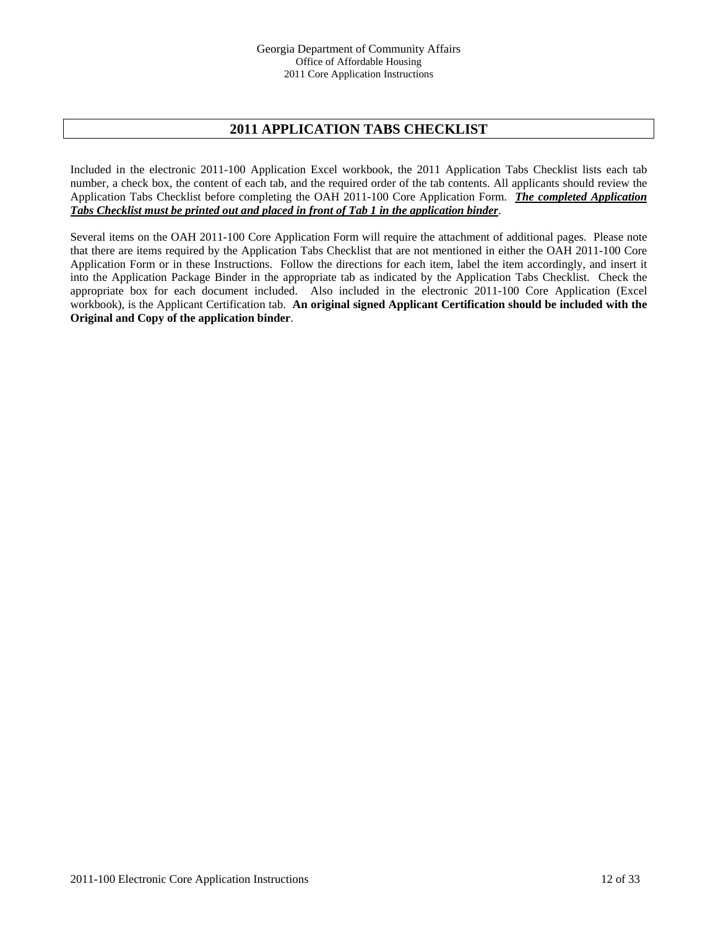# **2011 APPLICATION TABS CHECKLIST**

Included in the electronic 2011-100 Application Excel workbook, the 2011 Application Tabs Checklist lists each tab number, a check box, the content of each tab, and the required order of the tab contents. All applicants should review the Application Tabs Checklist before completing the OAH 2011-100 Core Application Form. *The completed Application Tabs Checklist must be printed out and placed in front of Tab 1 in the application binder*.

Several items on the OAH 2011-100 Core Application Form will require the attachment of additional pages. Please note that there are items required by the Application Tabs Checklist that are not mentioned in either the OAH 2011-100 Core Application Form or in these Instructions. Follow the directions for each item, label the item accordingly, and insert it into the Application Package Binder in the appropriate tab as indicated by the Application Tabs Checklist. Check the appropriate box for each document included. Also included in the electronic 2011-100 Core Application (Excel workbook), is the Applicant Certification tab. **An original signed Applicant Certification should be included with the Original and Copy of the application binder**.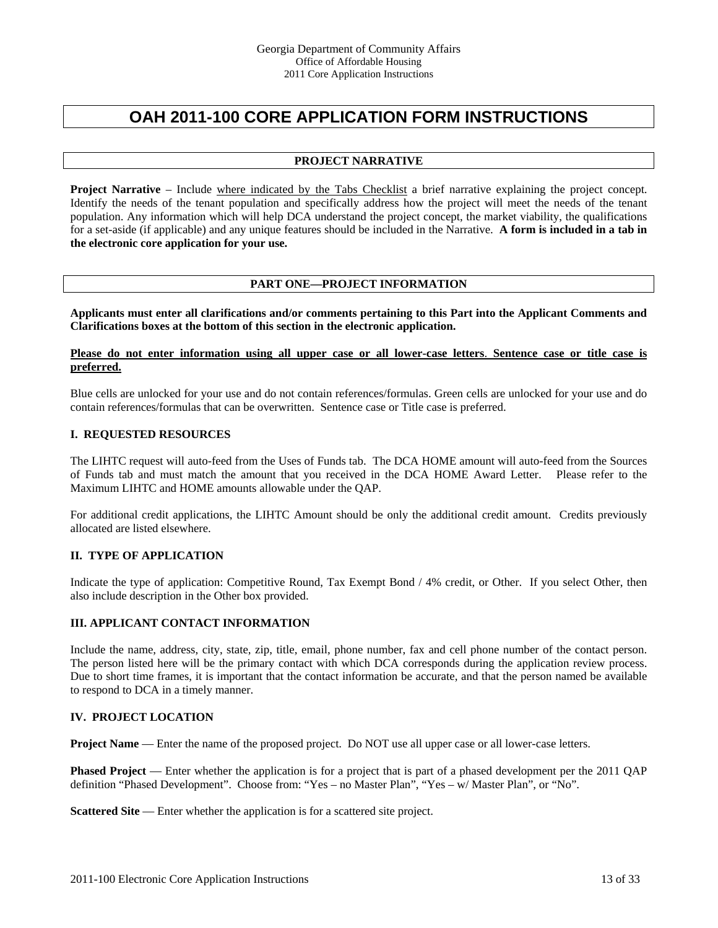# **OAH 2011-100 CORE APPLICATION FORM INSTRUCTIONS**

## **PROJECT NARRATIVE**

**Project Narrative** – Include where indicated by the Tabs Checklist a brief narrative explaining the project concept. Identify the needs of the tenant population and specifically address how the project will meet the needs of the tenant population. Any information which will help DCA understand the project concept, the market viability, the qualifications for a set-aside (if applicable) and any unique features should be included in the Narrative. **A form is included in a tab in the electronic core application for your use.** 

## **PART ONE—PROJECT INFORMATION**

**Applicants must enter all clarifications and/or comments pertaining to this Part into the Applicant Comments and Clarifications boxes at the bottom of this section in the electronic application.** 

#### **Please do not enter information using all upper case or all lower-case letters**. **Sentence case or title case is preferred.**

Blue cells are unlocked for your use and do not contain references/formulas. Green cells are unlocked for your use and do contain references/formulas that can be overwritten. Sentence case or Title case is preferred.

#### **I. REQUESTED RESOURCES**

The LIHTC request will auto-feed from the Uses of Funds tab. The DCA HOME amount will auto-feed from the Sources of Funds tab and must match the amount that you received in the DCA HOME Award Letter. Please refer to the Maximum LIHTC and HOME amounts allowable under the QAP.

For additional credit applications, the LIHTC Amount should be only the additional credit amount. Credits previously allocated are listed elsewhere.

#### **II. TYPE OF APPLICATION**

Indicate the type of application: Competitive Round, Tax Exempt Bond / 4% credit, or Other. If you select Other, then also include description in the Other box provided.

#### **III. APPLICANT CONTACT INFORMATION**

Include the name, address, city, state, zip, title, email, phone number, fax and cell phone number of the contact person. The person listed here will be the primary contact with which DCA corresponds during the application review process. Due to short time frames, it is important that the contact information be accurate, and that the person named be available to respond to DCA in a timely manner.

#### **IV. PROJECT LOCATION**

**Project Name** — Enter the name of the proposed project. Do NOT use all upper case or all lower-case letters.

**Phased Project** — Enter whether the application is for a project that is part of a phased development per the 2011 QAP definition "Phased Development". Choose from: "Yes – no Master Plan", "Yes – w/ Master Plan", or "No".

**Scattered Site** — Enter whether the application is for a scattered site project.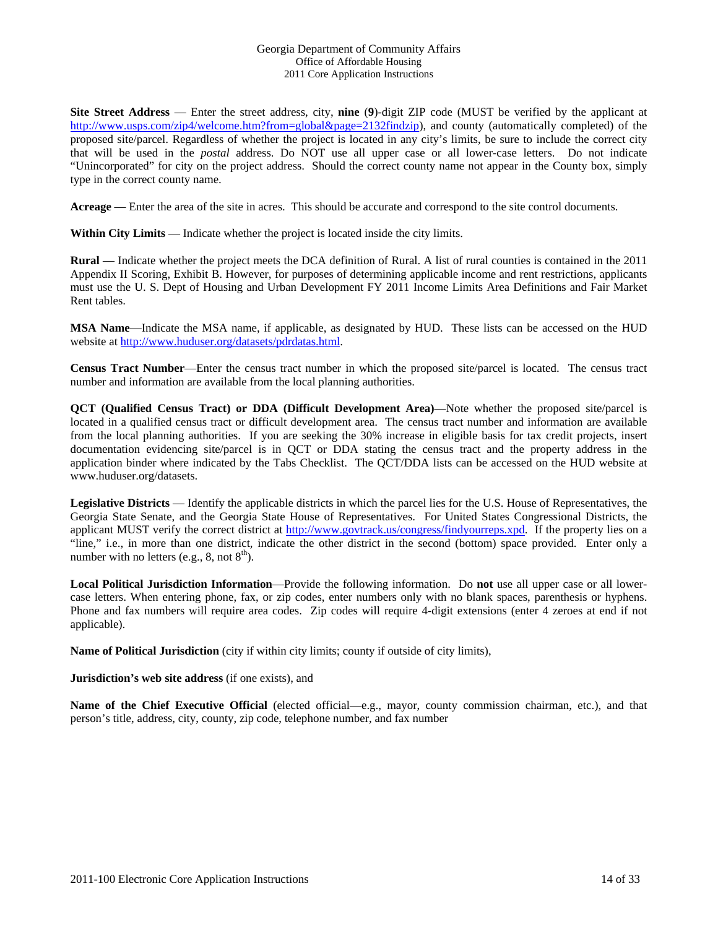**Site Street Address** — Enter the street address, city, **nine** (**9**)-digit ZIP code (MUST be verified by the applicant at http://www.usps.com/zip4/welcome.htm?from=global&page=2132findzip), and county (automatically completed) of the proposed site/parcel. Regardless of whether the project is located in any city's limits, be sure to include the correct city that will be used in the *postal* address. Do NOT use all upper case or all lower-case letters. Do not indicate "Unincorporated" for city on the project address. Should the correct county name not appear in the County box, simply type in the correct county name.

Acreage — Enter the area of the site in acres. This should be accurate and correspond to the site control documents.

Within City Limits — Indicate whether the project is located inside the city limits.

**Rural** — Indicate whether the project meets the DCA definition of Rural. A list of rural counties is contained in the 2011 Appendix II Scoring, Exhibit B. However, for purposes of determining applicable income and rent restrictions, applicants must use the U. S. Dept of Housing and Urban Development FY 2011 Income Limits Area Definitions and Fair Market Rent tables.

**MSA Name**—Indicate the MSA name, if applicable, as designated by HUD. These lists can be accessed on the HUD website at http://www.huduser.org/datasets/pdrdatas.html.

**Census Tract Number**—Enter the census tract number in which the proposed site/parcel is located. The census tract number and information are available from the local planning authorities.

**QCT (Qualified Census Tract) or DDA (Difficult Development Area)**—Note whether the proposed site/parcel is located in a qualified census tract or difficult development area. The census tract number and information are available from the local planning authorities. If you are seeking the 30% increase in eligible basis for tax credit projects, insert documentation evidencing site/parcel is in QCT or DDA stating the census tract and the property address in the application binder where indicated by the Tabs Checklist. The QCT/DDA lists can be accessed on the HUD website at www.huduser.org/datasets.

**Legislative Districts** — Identify the applicable districts in which the parcel lies for the U.S. House of Representatives, the Georgia State Senate, and the Georgia State House of Representatives. For United States Congressional Districts, the applicant MUST verify the correct district at http://www.govtrack.us/congress/findyourreps.xpd. If the property lies on a "line," i.e., in more than one district, indicate the other district in the second (bottom) space provided. Enter only a number with no letters (e.g.,  $8$ , not  $8^{\text{th}}$ ).

**Local Political Jurisdiction Information**—Provide the following information. Do **not** use all upper case or all lowercase letters. When entering phone, fax, or zip codes, enter numbers only with no blank spaces, parenthesis or hyphens. Phone and fax numbers will require area codes. Zip codes will require 4-digit extensions (enter 4 zeroes at end if not applicable).

**Name of Political Jurisdiction** (city if within city limits; county if outside of city limits),

**Jurisdiction's web site address** (if one exists), and

**Name of the Chief Executive Official** (elected official—e.g., mayor, county commission chairman, etc.), and that person's title, address, city, county, zip code, telephone number, and fax number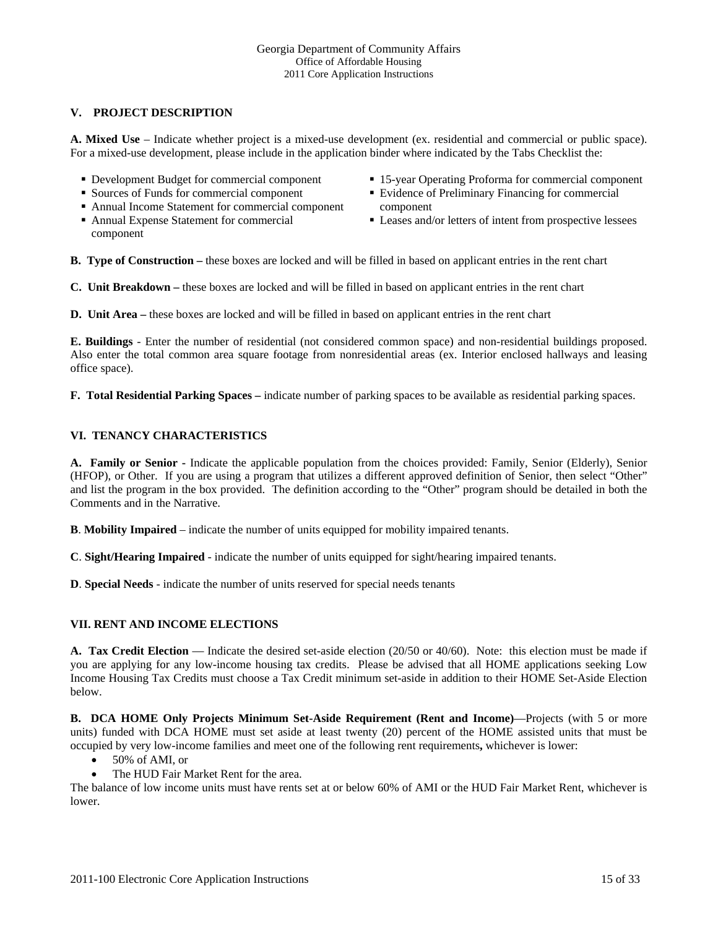### **V. PROJECT DESCRIPTION**

**A. Mixed Use** – Indicate whether project is a mixed-use development (ex. residential and commercial or public space). For a mixed-use development, please include in the application binder where indicated by the Tabs Checklist the:

- Development Budget for commercial component
- **Sources of Funds for commercial component**
- Annual Income Statement for commercial component
- Annual Expense Statement for commercial component
- 15-year Operating Proforma for commercial component
- Evidence of Preliminary Financing for commercial component
- Leases and/or letters of intent from prospective lessees

**B. Type of Construction –** these boxes are locked and will be filled in based on applicant entries in the rent chart

**C. Unit Breakdown –** these boxes are locked and will be filled in based on applicant entries in the rent chart

**D.** Unit Area – these boxes are locked and will be filled in based on applicant entries in the rent chart

**E. Buildings** - Enter the number of residential (not considered common space) and non-residential buildings proposed. Also enter the total common area square footage from nonresidential areas (ex. Interior enclosed hallways and leasing office space).

**F. Total Residential Parking Spaces –** indicate number of parking spaces to be available as residential parking spaces.

## **VI. TENANCY CHARACTERISTICS**

**A. Family or Senior -** Indicate the applicable population from the choices provided: Family, Senior (Elderly), Senior (HFOP), or Other. If you are using a program that utilizes a different approved definition of Senior, then select "Other" and list the program in the box provided. The definition according to the "Other" program should be detailed in both the Comments and in the Narrative.

**B**. **Mobility Impaired** – indicate the number of units equipped for mobility impaired tenants.

**C**. **Sight/Hearing Impaired** - indicate the number of units equipped for sight/hearing impaired tenants.

**D**. **Special Needs** - indicate the number of units reserved for special needs tenants

#### **VII. RENT AND INCOME ELECTIONS**

**A. Tax Credit Election** — Indicate the desired set-aside election (20/50 or 40/60). Note: this election must be made if you are applying for any low-income housing tax credits. Please be advised that all HOME applications seeking Low Income Housing Tax Credits must choose a Tax Credit minimum set-aside in addition to their HOME Set-Aside Election below.

**B. DCA HOME Only Projects Minimum Set-Aside Requirement (Rent and Income)**—Projects (with 5 or more units) funded with DCA HOME must set aside at least twenty (20) percent of the HOME assisted units that must be occupied by very low-income families and meet one of the following rent requirements**,** whichever is lower:

- 50% of AMI, or
- The HUD Fair Market Rent for the area.

The balance of low income units must have rents set at or below 60% of AMI or the HUD Fair Market Rent, whichever is lower.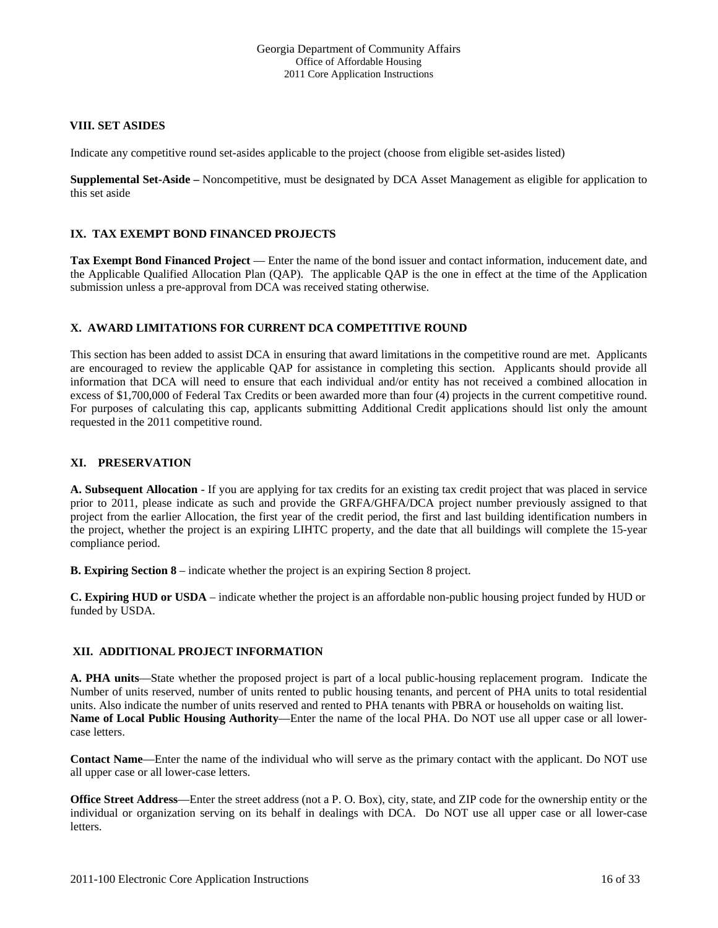#### **VIII. SET ASIDES**

Indicate any competitive round set-asides applicable to the project (choose from eligible set-asides listed)

**Supplemental Set-Aside –** Noncompetitive, must be designated by DCA Asset Management as eligible for application to this set aside

#### **IX. TAX EXEMPT BOND FINANCED PROJECTS**

**Tax Exempt Bond Financed Project** — Enter the name of the bond issuer and contact information, inducement date, and the Applicable Qualified Allocation Plan (QAP). The applicable QAP is the one in effect at the time of the Application submission unless a pre-approval from DCA was received stating otherwise.

#### **X. AWARD LIMITATIONS FOR CURRENT DCA COMPETITIVE ROUND**

This section has been added to assist DCA in ensuring that award limitations in the competitive round are met. Applicants are encouraged to review the applicable QAP for assistance in completing this section. Applicants should provide all information that DCA will need to ensure that each individual and/or entity has not received a combined allocation in excess of \$1,700,000 of Federal Tax Credits or been awarded more than four (4) projects in the current competitive round. For purposes of calculating this cap, applicants submitting Additional Credit applications should list only the amount requested in the 2011 competitive round.

#### **XI. PRESERVATION**

**A. Subsequent Allocation** - If you are applying for tax credits for an existing tax credit project that was placed in service prior to 2011, please indicate as such and provide the GRFA/GHFA/DCA project number previously assigned to that project from the earlier Allocation, the first year of the credit period, the first and last building identification numbers in the project, whether the project is an expiring LIHTC property, and the date that all buildings will complete the 15-year compliance period.

**B. Expiring Section 8** – indicate whether the project is an expiring Section 8 project.

**C. Expiring HUD or USDA** – indicate whether the project is an affordable non-public housing project funded by HUD or funded by USDA.

#### **XII. ADDITIONAL PROJECT INFORMATION**

**A. PHA units**—State whether the proposed project is part of a local public-housing replacement program. Indicate the Number of units reserved, number of units rented to public housing tenants, and percent of PHA units to total residential units. Also indicate the number of units reserved and rented to PHA tenants with PBRA or households on waiting list. **Name of Local Public Housing Authority**—Enter the name of the local PHA. Do NOT use all upper case or all lowercase letters.

**Contact Name**—Enter the name of the individual who will serve as the primary contact with the applicant. Do NOT use all upper case or all lower-case letters.

**Office Street Address**—Enter the street address (not a P. O. Box), city, state, and ZIP code for the ownership entity or the individual or organization serving on its behalf in dealings with DCA. Do NOT use all upper case or all lower-case letters.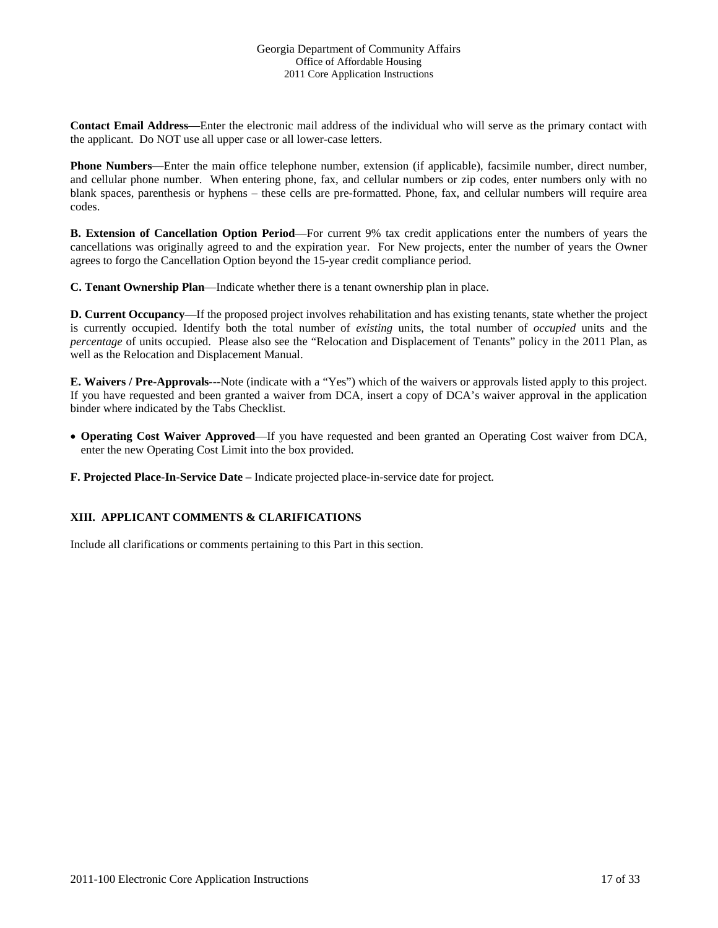**Contact Email Address**—Enter the electronic mail address of the individual who will serve as the primary contact with the applicant. Do NOT use all upper case or all lower-case letters.

**Phone Numbers**—Enter the main office telephone number, extension (if applicable), facsimile number, direct number, and cellular phone number. When entering phone, fax, and cellular numbers or zip codes, enter numbers only with no blank spaces, parenthesis or hyphens – these cells are pre-formatted. Phone, fax, and cellular numbers will require area codes.

**B. Extension of Cancellation Option Period**—For current 9% tax credit applications enter the numbers of years the cancellations was originally agreed to and the expiration year. For New projects, enter the number of years the Owner agrees to forgo the Cancellation Option beyond the 15-year credit compliance period.

**C. Tenant Ownership Plan**—Indicate whether there is a tenant ownership plan in place.

**D. Current Occupancy**—If the proposed project involves rehabilitation and has existing tenants, state whether the project is currently occupied. Identify both the total number of *existing* units, the total number of *occupied* units and the *percentage* of units occupied. Please also see the "Relocation and Displacement of Tenants" policy in the 2011 Plan, as well as the Relocation and Displacement Manual.

**E. Waivers / Pre-Approvals**---Note (indicate with a "Yes") which of the waivers or approvals listed apply to this project. If you have requested and been granted a waiver from DCA, insert a copy of DCA's waiver approval in the application binder where indicated by the Tabs Checklist.

• **Operating Cost Waiver Approved**—If you have requested and been granted an Operating Cost waiver from DCA, enter the new Operating Cost Limit into the box provided.

**F. Projected Place-In-Service Date –** Indicate projected place-in-service date for project.

#### **XIII. APPLICANT COMMENTS & CLARIFICATIONS**

Include all clarifications or comments pertaining to this Part in this section.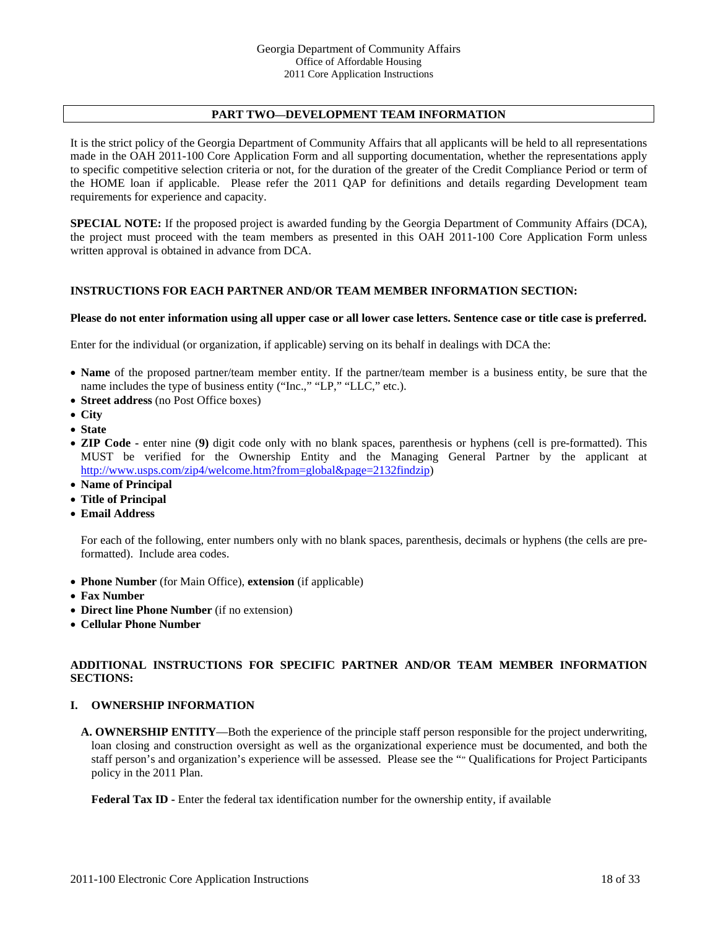# **PART TWO—DEVELOPMENT TEAM INFORMATION**

It is the strict policy of the Georgia Department of Community Affairs that all applicants will be held to all representations made in the OAH 2011-100 Core Application Form and all supporting documentation, whether the representations apply to specific competitive selection criteria or not, for the duration of the greater of the Credit Compliance Period or term of the HOME loan if applicable. Please refer the 2011 QAP for definitions and details regarding Development team requirements for experience and capacity.

**SPECIAL NOTE:** If the proposed project is awarded funding by the Georgia Department of Community Affairs (DCA), the project must proceed with the team members as presented in this OAH 2011-100 Core Application Form unless written approval is obtained in advance from DCA.

#### **INSTRUCTIONS FOR EACH PARTNER AND/OR TEAM MEMBER INFORMATION SECTION:**

#### **Please do not enter information using all upper case or all lower case letters. Sentence case or title case is preferred.**

Enter for the individual (or organization, if applicable) serving on its behalf in dealings with DCA the:

- **Name** of the proposed partner/team member entity. If the partner/team member is a business entity, be sure that the name includes the type of business entity ("Inc.," "LP," "LLC," etc.).
- **Street address** (no Post Office boxes)
- **City**
- **State**
- **ZIP Code** enter nine (**9)** digit code only with no blank spaces, parenthesis or hyphens (cell is pre-formatted). This MUST be verified for the Ownership Entity and the Managing General Partner by the applicant at http://www.usps.com/zip4/welcome.htm?from=global&page=2132findzip)
- **Name of Principal**
- **Title of Principal**
- **Email Address**

For each of the following, enter numbers only with no blank spaces, parenthesis, decimals or hyphens (the cells are preformatted). Include area codes.

- **Phone Number** (for Main Office), **extension** (if applicable)
- **Fax Number**
- **Direct line Phone Number** (if no extension)
- **Cellular Phone Number**

#### **ADDITIONAL INSTRUCTIONS FOR SPECIFIC PARTNER AND/OR TEAM MEMBER INFORMATION SECTIONS:**

#### **I. OWNERSHIP INFORMATION**

**A. OWNERSHIP ENTITY**—Both the experience of the principle staff person responsible for the project underwriting, loan closing and construction oversight as well as the organizational experience must be documented, and both the staff person's and organization's experience will be assessed. Please see the "" Qualifications for Project Participants policy in the 2011 Plan.

**Federal Tax ID -** Enter the federal tax identification number for the ownership entity, if available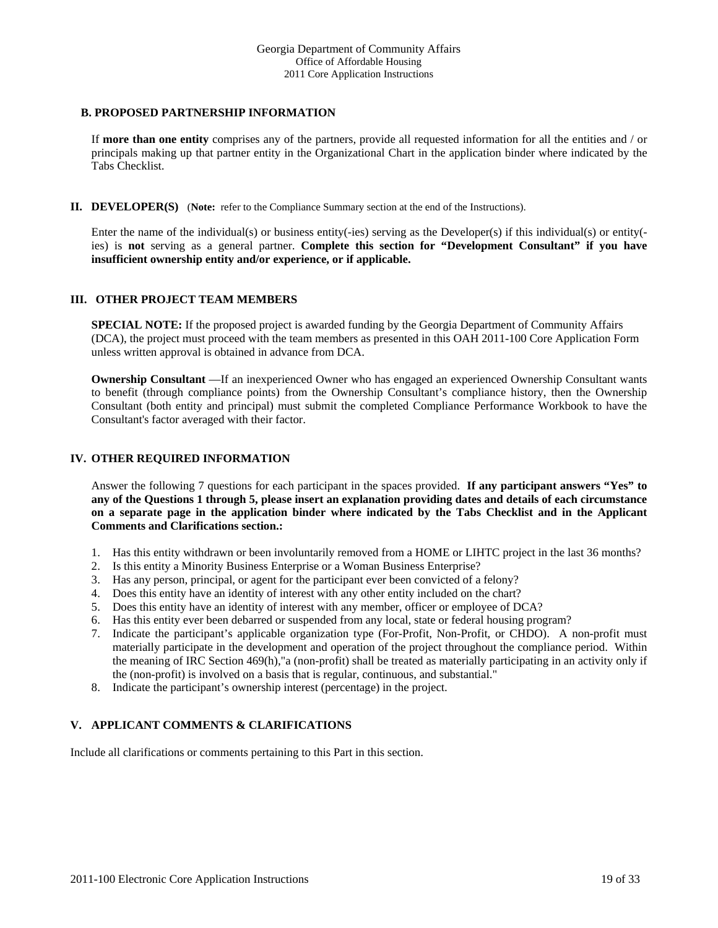#### **B. PROPOSED PARTNERSHIP INFORMATION**

If **more than one entity** comprises any of the partners, provide all requested information for all the entities and / or principals making up that partner entity in the Organizational Chart in the application binder where indicated by the Tabs Checklist.

**II. DEVELOPER(S)** (**Note:** refer to the Compliance Summary section at the end of the Instructions).

Enter the name of the individual(s) or business entity(-ies) serving as the Developer(s) if this individual(s) or entity( ies) is **not** serving as a general partner. Complete this section for "Development Consultant" if you have **insufficient ownership entity and/or experience, or if applicable.**

#### **III. OTHER PROJECT TEAM MEMBERS**

**SPECIAL NOTE:** If the proposed project is awarded funding by the Georgia Department of Community Affairs (DCA), the project must proceed with the team members as presented in this OAH 2011-100 Core Application Form unless written approval is obtained in advance from DCA.

**Ownership Consultant** —If an inexperienced Owner who has engaged an experienced Ownership Consultant wants to benefit (through compliance points) from the Ownership Consultant's compliance history, then the Ownership Consultant (both entity and principal) must submit the completed Compliance Performance Workbook to have the Consultant's factor averaged with their factor.

#### **IV. OTHER REQUIRED INFORMATION**

Answer the following 7 questions for each participant in the spaces provided. **If any participant answers "Yes" to any of the Questions 1 through 5, please insert an explanation providing dates and details of each circumstance on a separate page in the application binder where indicated by the Tabs Checklist and in the Applicant Comments and Clarifications section.:** 

- 1. Has this entity withdrawn or been involuntarily removed from a HOME or LIHTC project in the last 36 months?
- 2. Is this entity a Minority Business Enterprise or a Woman Business Enterprise?
- 3. Has any person, principal, or agent for the participant ever been convicted of a felony?
- 4. Does this entity have an identity of interest with any other entity included on the chart?
- 5. Does this entity have an identity of interest with any member, officer or employee of DCA?
- 6. Has this entity ever been debarred or suspended from any local, state or federal housing program?
- 7. Indicate the participant's applicable organization type (For-Profit, Non-Profit, or CHDO). A non-profit must materially participate in the development and operation of the project throughout the compliance period. Within the meaning of IRC Section 469(h),"a (non-profit) shall be treated as materially participating in an activity only if the (non-profit) is involved on a basis that is regular, continuous, and substantial."
- 8. Indicate the participant's ownership interest (percentage) in the project.

#### **V. APPLICANT COMMENTS & CLARIFICATIONS**

Include all clarifications or comments pertaining to this Part in this section.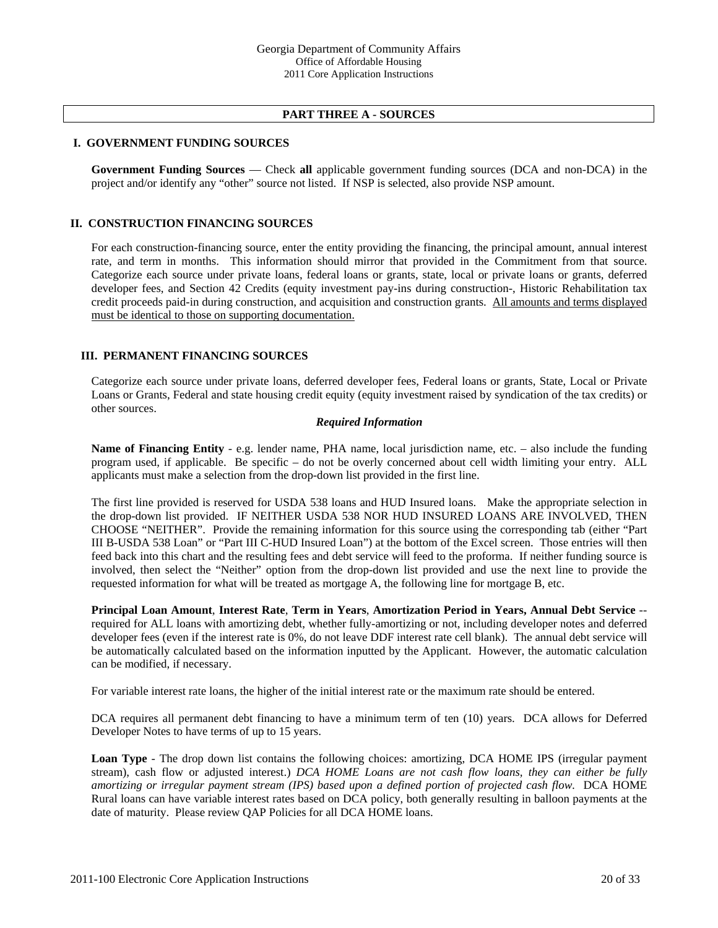#### **PART THREE A - SOURCES**

#### **I. GOVERNMENT FUNDING SOURCES**

**Government Funding Sources** — Check **all** applicable government funding sources (DCA and non-DCA) in the project and/or identify any "other" source not listed. If NSP is selected, also provide NSP amount.

#### **II. CONSTRUCTION FINANCING SOURCES**

For each construction-financing source, enter the entity providing the financing, the principal amount, annual interest rate, and term in months. This information should mirror that provided in the Commitment from that source. Categorize each source under private loans, federal loans or grants, state, local or private loans or grants, deferred developer fees, and Section 42 Credits (equity investment pay-ins during construction-, Historic Rehabilitation tax credit proceeds paid-in during construction, and acquisition and construction grants. All amounts and terms displayed must be identical to those on supporting documentation.

#### **III. PERMANENT FINANCING SOURCES**

Categorize each source under private loans, deferred developer fees, Federal loans or grants, State, Local or Private Loans or Grants, Federal and state housing credit equity (equity investment raised by syndication of the tax credits) or other sources.

#### *Required Information*

**Name of Financing Entity** - e.g. lender name, PHA name, local jurisdiction name, etc. – also include the funding program used, if applicable. Be specific – do not be overly concerned about cell width limiting your entry. ALL applicants must make a selection from the drop-down list provided in the first line.

The first line provided is reserved for USDA 538 loans and HUD Insured loans. Make the appropriate selection in the drop-down list provided. IF NEITHER USDA 538 NOR HUD INSURED LOANS ARE INVOLVED, THEN CHOOSE "NEITHER". Provide the remaining information for this source using the corresponding tab (either "Part III B-USDA 538 Loan" or "Part III C-HUD Insured Loan") at the bottom of the Excel screen. Those entries will then feed back into this chart and the resulting fees and debt service will feed to the proforma. If neither funding source is involved, then select the "Neither" option from the drop-down list provided and use the next line to provide the requested information for what will be treated as mortgage A, the following line for mortgage B, etc.

**Principal Loan Amount**, **Interest Rate**, **Term in Years**, **Amortization Period in Years, Annual Debt Service** - required for ALL loans with amortizing debt, whether fully-amortizing or not, including developer notes and deferred developer fees (even if the interest rate is 0%, do not leave DDF interest rate cell blank). The annual debt service will be automatically calculated based on the information inputted by the Applicant. However, the automatic calculation can be modified, if necessary.

For variable interest rate loans, the higher of the initial interest rate or the maximum rate should be entered.

DCA requires all permanent debt financing to have a minimum term of ten (10) years. DCA allows for Deferred Developer Notes to have terms of up to 15 years.

**Loan Type** - The drop down list contains the following choices: amortizing, DCA HOME IPS (irregular payment stream), cash flow or adjusted interest.) *DCA HOME Loans are not cash flow loans, they can either be fully amortizing or irregular payment stream (IPS) based upon a defined portion of projected cash flow.* DCA HOME Rural loans can have variable interest rates based on DCA policy, both generally resulting in balloon payments at the date of maturity. Please review QAP Policies for all DCA HOME loans.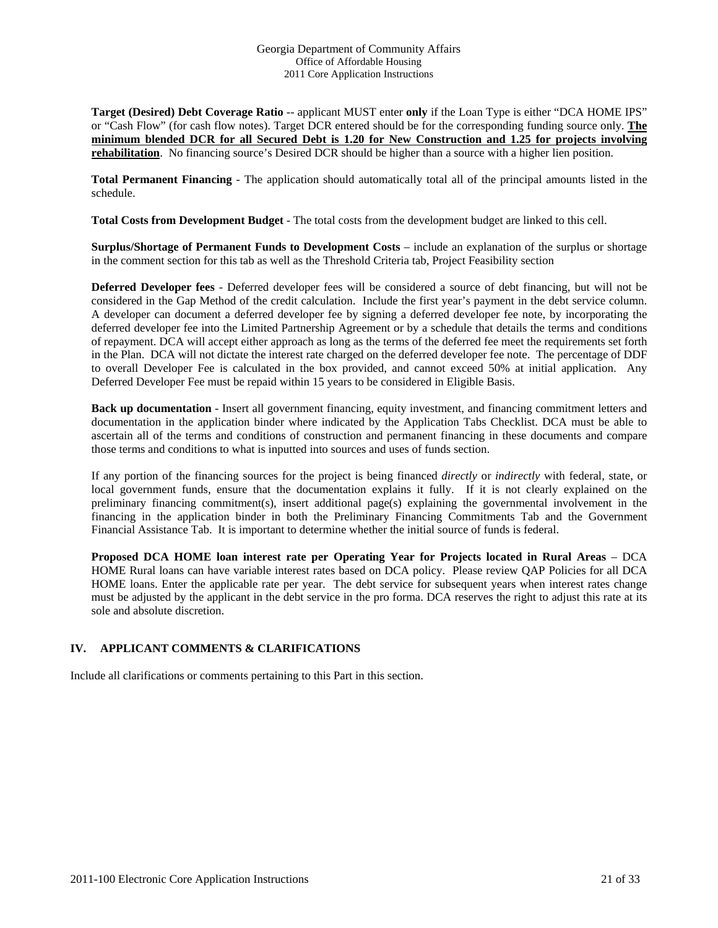**Target (Desired) Debt Coverage Ratio** -- applicant MUST enter **only** if the Loan Type is either "DCA HOME IPS" or "Cash Flow" (for cash flow notes). Target DCR entered should be for the corresponding funding source only. **The minimum blended DCR for all Secured Debt is 1.20 for New Construction and 1.25 for projects involving rehabilitation**. No financing source's Desired DCR should be higher than a source with a higher lien position.

**Total Permanent Financing** - The application should automatically total all of the principal amounts listed in the schedule.

**Total Costs from Development Budget** - The total costs from the development budget are linked to this cell.

**Surplus/Shortage of Permanent Funds to Development Costs** – include an explanation of the surplus or shortage in the comment section for this tab as well as the Threshold Criteria tab, Project Feasibility section

**Deferred Developer fees** - Deferred developer fees will be considered a source of debt financing, but will not be considered in the Gap Method of the credit calculation. Include the first year's payment in the debt service column. A developer can document a deferred developer fee by signing a deferred developer fee note, by incorporating the deferred developer fee into the Limited Partnership Agreement or by a schedule that details the terms and conditions of repayment. DCA will accept either approach as long as the terms of the deferred fee meet the requirements set forth in the Plan. DCA will not dictate the interest rate charged on the deferred developer fee note. The percentage of DDF to overall Developer Fee is calculated in the box provided, and cannot exceed 50% at initial application. Any Deferred Developer Fee must be repaid within 15 years to be considered in Eligible Basis.

**Back up documentation** - Insert all government financing, equity investment, and financing commitment letters and documentation in the application binder where indicated by the Application Tabs Checklist. DCA must be able to ascertain all of the terms and conditions of construction and permanent financing in these documents and compare those terms and conditions to what is inputted into sources and uses of funds section.

If any portion of the financing sources for the project is being financed *directly* or *indirectly* with federal, state, or local government funds, ensure that the documentation explains it fully. If it is not clearly explained on the preliminary financing commitment(s), insert additional page(s) explaining the governmental involvement in the financing in the application binder in both the Preliminary Financing Commitments Tab and the Government Financial Assistance Tab. It is important to determine whether the initial source of funds is federal.

**Proposed DCA HOME loan interest rate per Operating Year for Projects located in Rural Areas** – DCA HOME Rural loans can have variable interest rates based on DCA policy. Please review QAP Policies for all DCA HOME loans. Enter the applicable rate per year. The debt service for subsequent years when interest rates change must be adjusted by the applicant in the debt service in the pro forma. DCA reserves the right to adjust this rate at its sole and absolute discretion.

#### **IV. APPLICANT COMMENTS & CLARIFICATIONS**

Include all clarifications or comments pertaining to this Part in this section.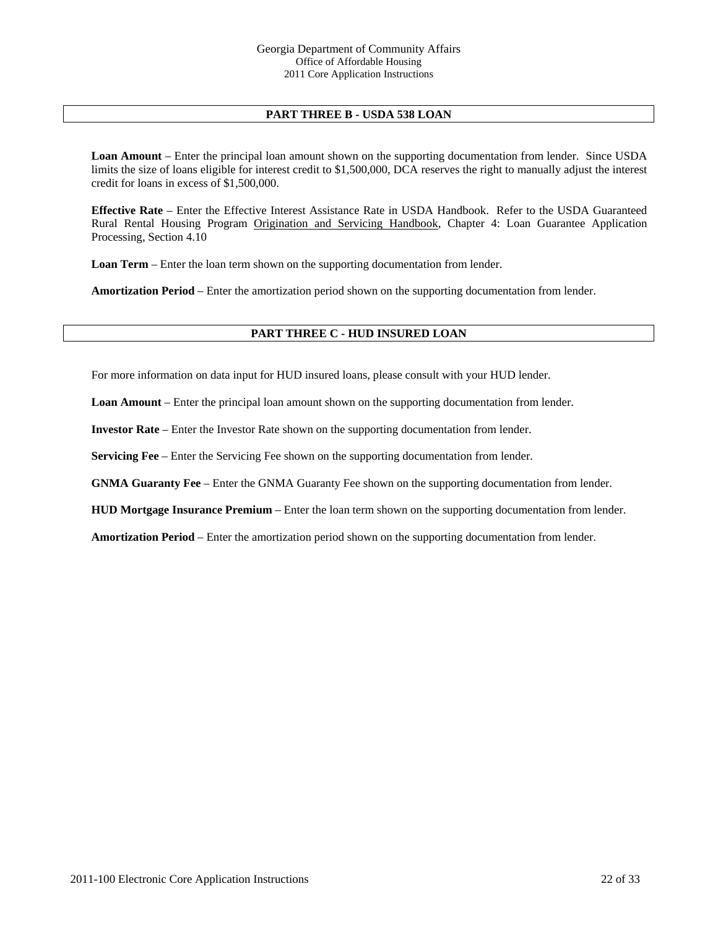### **PART THREE B - USDA 538 LOAN**

**Loan Amount** – Enter the principal loan amount shown on the supporting documentation from lender. Since USDA limits the size of loans eligible for interest credit to \$1,500,000, DCA reserves the right to manually adjust the interest credit for loans in excess of \$1,500,000.

**Effective Rate** – Enter the Effective Interest Assistance Rate in USDA Handbook. Refer to the USDA Guaranteed Rural Rental Housing Program Origination and Servicing Handbook, Chapter 4: Loan Guarantee Application Processing, Section 4.10

**Loan Term** – Enter the loan term shown on the supporting documentation from lender.

**Amortization Period** – Enter the amortization period shown on the supporting documentation from lender.

#### **PART THREE C - HUD INSURED LOAN**

For more information on data input for HUD insured loans, please consult with your HUD lender.

**Loan Amount** – Enter the principal loan amount shown on the supporting documentation from lender.

**Investor Rate** – Enter the Investor Rate shown on the supporting documentation from lender.

**Servicing Fee** – Enter the Servicing Fee shown on the supporting documentation from lender.

**GNMA Guaranty Fee** – Enter the GNMA Guaranty Fee shown on the supporting documentation from lender.

**HUD Mortgage Insurance Premium** – Enter the loan term shown on the supporting documentation from lender.

**Amortization Period** – Enter the amortization period shown on the supporting documentation from lender.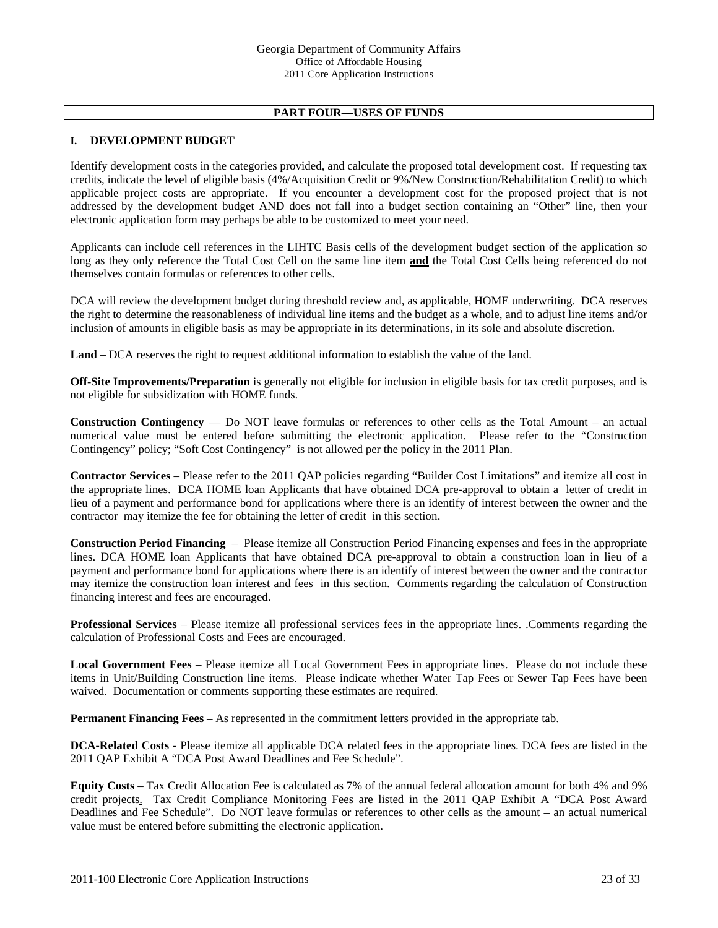# **PART FOUR—USES OF FUNDS**

#### **I. DEVELOPMENT BUDGET**

Identify development costs in the categories provided, and calculate the proposed total development cost. If requesting tax credits, indicate the level of eligible basis (4%/Acquisition Credit or 9%/New Construction/Rehabilitation Credit) to which applicable project costs are appropriate. If you encounter a development cost for the proposed project that is not addressed by the development budget AND does not fall into a budget section containing an "Other" line, then your electronic application form may perhaps be able to be customized to meet your need.

Applicants can include cell references in the LIHTC Basis cells of the development budget section of the application so long as they only reference the Total Cost Cell on the same line item **and** the Total Cost Cells being referenced do not themselves contain formulas or references to other cells.

 DCA will review the development budget during threshold review and, as applicable, HOME underwriting. DCA reserves the right to determine the reasonableness of individual line items and the budget as a whole, and to adjust line items and/or inclusion of amounts in eligible basis as may be appropriate in its determinations, in its sole and absolute discretion.

**Land** – DCA reserves the right to request additional information to establish the value of the land.

**Off-Site Improvements/Preparation** is generally not eligible for inclusion in eligible basis for tax credit purposes, and is not eligible for subsidization with HOME funds.

**Construction Contingency** — Do NOT leave formulas or references to other cells as the Total Amount – an actual numerical value must be entered before submitting the electronic application. Please refer to the "Construction Contingency" policy; "Soft Cost Contingency" is not allowed per the policy in the 2011 Plan.

**Contractor Services** – Please refer to the 2011 QAP policies regarding "Builder Cost Limitations" and itemize all cost in the appropriate lines.DCA HOME loan Applicants that have obtained DCA pre-approval to obtain a letter of credit in lieu of a payment and performance bond for applications where there is an identify of interest between the owner and the contractor may itemize the fee for obtaining the letter of credit in this section.

**Construction Period Financing** – Please itemize all Construction Period Financing expenses and fees in the appropriate lines. DCA HOME loan Applicants that have obtained DCA pre-approval to obtain a construction loan in lieu of a payment and performance bond for applications where there is an identify of interest between the owner and the contractor may itemize the construction loan interest and fees in this section. Comments regarding the calculation of Construction financing interest and fees are encouraged.

**Professional Services** – Please itemize all professional services fees in the appropriate lines. .Comments regarding the calculation of Professional Costs and Fees are encouraged.

**Local Government Fees** – Please itemize all Local Government Fees in appropriate lines. Please do not include these items in Unit/Building Construction line items. Please indicate whether Water Tap Fees or Sewer Tap Fees have been waived. Documentation or comments supporting these estimates are required.

**Permanent Financing Fees** – As represented in the commitment letters provided in the appropriate tab.

**DCA-Related Costs** - Please itemize all applicable DCA related fees in the appropriate lines. DCA fees are listed in the 2011 QAP Exhibit A "DCA Post Award Deadlines and Fee Schedule".

**Equity Costs** – Tax Credit Allocation Fee is calculated as 7% of the annual federal allocation amount for both 4% and 9% credit projects. Tax Credit Compliance Monitoring Fees are listed in the 2011 QAP Exhibit A "DCA Post Award Deadlines and Fee Schedule". Do NOT leave formulas or references to other cells as the amount – an actual numerical value must be entered before submitting the electronic application.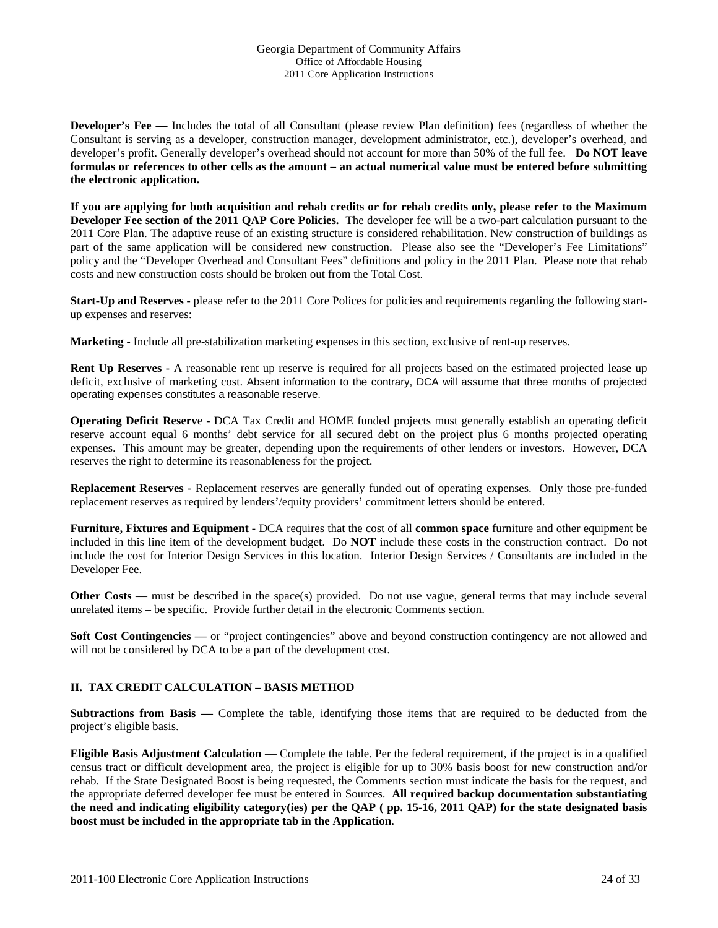**Developer's Fee** — Includes the total of all Consultant (please review Plan definition) fees (regardless of whether the Consultant is serving as a developer, construction manager, development administrator, etc.), developer's overhead, and developer's profit. Generally developer's overhead should not account for more than 50% of the full fee. **Do NOT leave formulas or references to other cells as the amount – an actual numerical value must be entered before submitting the electronic application.** 

**If you are applying for both acquisition and rehab credits or for rehab credits only, please refer to the Maximum Developer Fee section of the 2011 QAP Core Policies.** The developer fee will be a two-part calculation pursuant to the 2011 Core Plan. The adaptive reuse of an existing structure is considered rehabilitation. New construction of buildings as part of the same application will be considered new construction. Please also see the "Developer's Fee Limitations" policy and the "Developer Overhead and Consultant Fees" definitions and policy in the 2011 Plan. Please note that rehab costs and new construction costs should be broken out from the Total Cost.

**Start-Up and Reserves -** please refer to the 2011 Core Polices for policies and requirements regarding the following startup expenses and reserves:

**Marketing -** Include all pre-stabilization marketing expenses in this section, exclusive of rent-up reserves.

**Rent Up Reserves -** A reasonable rent up reserve is required for all projects based on the estimated projected lease up deficit, exclusive of marketing cost. Absent information to the contrary, DCA will assume that three months of projected operating expenses constitutes a reasonable reserve.

**Operating Deficit Reserv**e **-** DCA Tax Credit and HOME funded projects must generally establish an operating deficit reserve account equal 6 months' debt service for all secured debt on the project plus 6 months projected operating expenses. This amount may be greater, depending upon the requirements of other lenders or investors. However, DCA reserves the right to determine its reasonableness for the project.

**Replacement Reserves -** Replacement reserves are generally funded out of operating expenses. Only those pre-funded replacement reserves as required by lenders'/equity providers' commitment letters should be entered.

**Furniture, Fixtures and Equipment -** DCA requires that the cost of all **common space** furniture and other equipment be included in this line item of the development budget. Do **NOT** include these costs in the construction contract. Do not include the cost for Interior Design Services in this location. Interior Design Services / Consultants are included in the Developer Fee.

**Other Costs** — must be described in the space(s) provided. Do not use vague, general terms that may include several unrelated items – be specific. Provide further detail in the electronic Comments section.

**Soft Cost Contingencies — or "project contingencies" above and beyond construction contingency are not allowed and** will not be considered by DCA to be a part of the development cost.

#### **II. TAX CREDIT CALCULATION – BASIS METHOD**

**Subtractions from Basis —** Complete the table, identifying those items that are required to be deducted from the project's eligible basis.

**Eligible Basis Adjustment Calculation** — Complete the table. Per the federal requirement, if the project is in a qualified census tract or difficult development area, the project is eligible for up to 30% basis boost for new construction and/or rehab. If the State Designated Boost is being requested, the Comments section must indicate the basis for the request, and the appropriate deferred developer fee must be entered in Sources. **All required backup documentation substantiating the need and indicating eligibility category(ies) per the QAP ( pp. 15-16, 2011 QAP) for the state designated basis boost must be included in the appropriate tab in the Application**.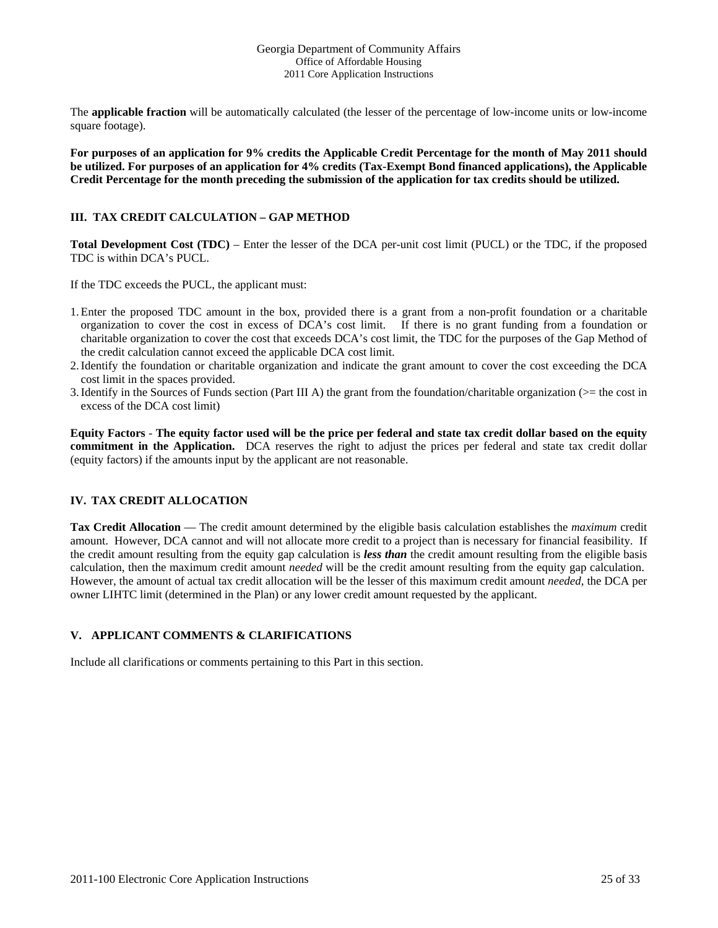The **applicable fraction** will be automatically calculated (the lesser of the percentage of low-income units or low-income square footage).

**For purposes of an application for 9% credits the Applicable Credit Percentage for the month of May 2011 should be utilized. For purposes of an application for 4% credits (Tax-Exempt Bond financed applications), the Applicable Credit Percentage for the month preceding the submission of the application for tax credits should be utilized.** 

### **III. TAX CREDIT CALCULATION – GAP METHOD**

**Total Development Cost (TDC)** – Enter the lesser of the DCA per-unit cost limit (PUCL) or the TDC, if the proposed TDC is within DCA's PUCL.

If the TDC exceeds the PUCL, the applicant must:

- 1.Enter the proposed TDC amount in the box, provided there is a grant from a non-profit foundation or a charitable organization to cover the cost in excess of DCA's cost limit. If there is no grant funding from a foundation or charitable organization to cover the cost that exceeds DCA's cost limit, the TDC for the purposes of the Gap Method of the credit calculation cannot exceed the applicable DCA cost limit.
- 2.Identify the foundation or charitable organization and indicate the grant amount to cover the cost exceeding the DCA cost limit in the spaces provided.
- 3.Identify in the Sources of Funds section (Part III A) the grant from the foundation/charitable organization (>= the cost in excess of the DCA cost limit)

**Equity Factors** - **The equity factor used will be the price per federal and state tax credit dollar based on the equity commitment in the Application.** DCA reserves the right to adjust the prices per federal and state tax credit dollar (equity factors) if the amounts input by the applicant are not reasonable.

#### **IV. TAX CREDIT ALLOCATION**

**Tax Credit Allocation** — The credit amount determined by the eligible basis calculation establishes the *maximum* credit amount. However, DCA cannot and will not allocate more credit to a project than is necessary for financial feasibility. If the credit amount resulting from the equity gap calculation is *less than* the credit amount resulting from the eligible basis calculation, then the maximum credit amount *needed* will be the credit amount resulting from the equity gap calculation. However, the amount of actual tax credit allocation will be the lesser of this maximum credit amount *needed*, the DCA per owner LIHTC limit (determined in the Plan) or any lower credit amount requested by the applicant.

# **V. APPLICANT COMMENTS & CLARIFICATIONS**

Include all clarifications or comments pertaining to this Part in this section.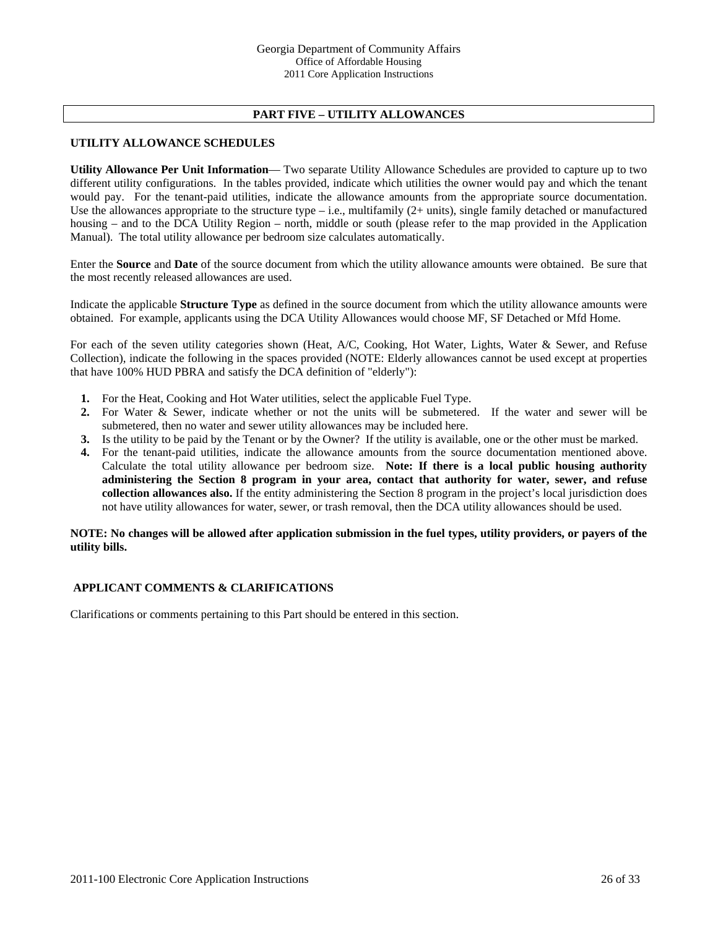## **PART FIVE – UTILITY ALLOWANCES**

#### **UTILITY ALLOWANCE SCHEDULES**

**Utility Allowance Per Unit Information**— Two separate Utility Allowance Schedules are provided to capture up to two different utility configurations.In the tables provided, indicate which utilities the owner would pay and which the tenant would pay. For the tenant-paid utilities, indicate the allowance amounts from the appropriate source documentation. Use the allowances appropriate to the structure type  $-$  i.e., multifamily  $(2+$  units), single family detached or manufactured housing – and to the DCA Utility Region – north, middle or south (please refer to the map provided in the Application Manual). The total utility allowance per bedroom size calculates automatically.

Enter the **Source** and **Date** of the source document from which the utility allowance amounts were obtained. Be sure that the most recently released allowances are used.

Indicate the applicable **Structure Type** as defined in the source document from which the utility allowance amounts were obtained. For example, applicants using the DCA Utility Allowances would choose MF, SF Detached or Mfd Home.

For each of the seven utility categories shown (Heat, A/C, Cooking, Hot Water, Lights, Water & Sewer, and Refuse Collection), indicate the following in the spaces provided (NOTE: Elderly allowances cannot be used except at properties that have 100% HUD PBRA and satisfy the DCA definition of "elderly"):

- **1.** For the Heat, Cooking and Hot Water utilities, select the applicable Fuel Type.
- **2.** For Water & Sewer, indicate whether or not the units will be submetered. If the water and sewer will be submetered, then no water and sewer utility allowances may be included here.
- **3.** Is the utility to be paid by the Tenant or by the Owner? If the utility is available, one or the other must be marked.
- **4.** For the tenant-paid utilities, indicate the allowance amounts from the source documentation mentioned above. Calculate the total utility allowance per bedroom size. **Note: If there is a local public housing authority administering the Section 8 program in your area, contact that authority for water, sewer, and refuse collection allowances also.** If the entity administering the Section 8 program in the project's local jurisdiction does not have utility allowances for water, sewer, or trash removal, then the DCA utility allowances should be used.

#### **NOTE: No changes will be allowed after application submission in the fuel types, utility providers, or payers of the utility bills.**

#### **APPLICANT COMMENTS & CLARIFICATIONS**

Clarifications or comments pertaining to this Part should be entered in this section.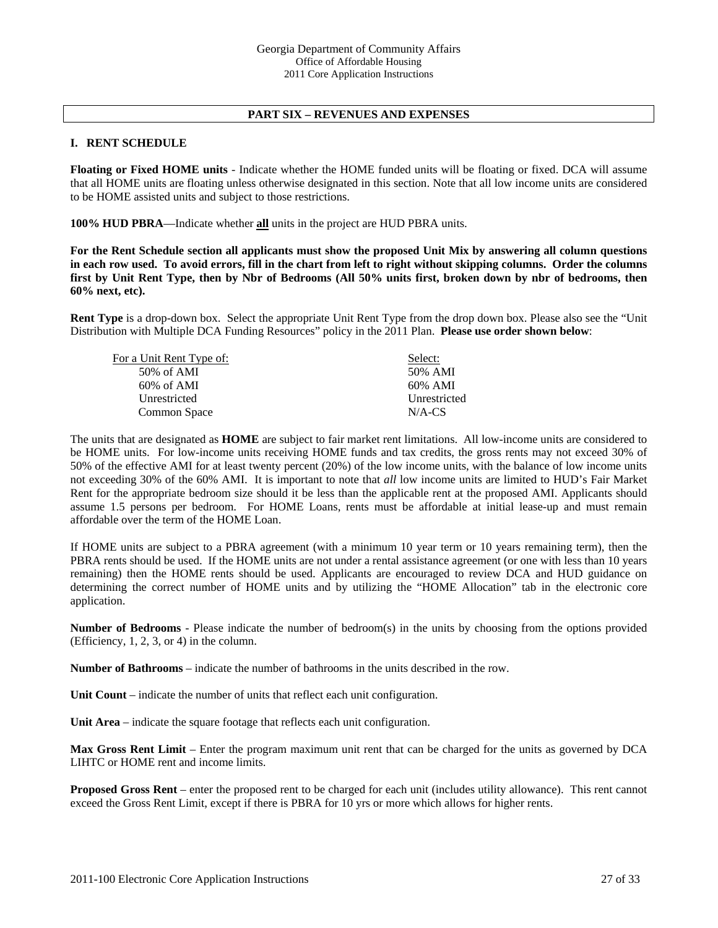#### **PART SIX – REVENUES AND EXPENSES**

#### **I. RENT SCHEDULE**

**Floating or Fixed HOME units** - Indicate whether the HOME funded units will be floating or fixed. DCA will assume that all HOME units are floating unless otherwise designated in this section. Note that all low income units are considered to be HOME assisted units and subject to those restrictions.

**100% HUD PBRA**—Indicate whether **all** units in the project are HUD PBRA units.

**For the Rent Schedule section all applicants must show the proposed Unit Mix by answering all column questions in each row used. To avoid errors, fill in the chart from left to right without skipping columns. Order the columns first by Unit Rent Type, then by Nbr of Bedrooms (All 50% units first, broken down by nbr of bedrooms, then 60% next, etc).** 

**Rent Type** is a drop-down box. Select the appropriate Unit Rent Type from the drop down box. Please also see the "Unit Distribution with Multiple DCA Funding Resources" policy in the 2011 Plan. **Please use order shown below**:

| For a Unit Rent Type of: | Select:      |
|--------------------------|--------------|
| $50\%$ of AMI            | 50% AMI      |
| $60\%$ of AMI            | 60% AMI      |
| Unrestricted             | Unrestricted |
| Common Space             | $N/A$ -CS    |

The units that are designated as **HOME** are subject to fair market rent limitations. All low-income units are considered to be HOME units. For low-income units receiving HOME funds and tax credits, the gross rents may not exceed 30% of 50% of the effective AMI for at least twenty percent (20%) of the low income units, with the balance of low income units not exceeding 30% of the 60% AMI. It is important to note that *all* low income units are limited to HUD's Fair Market Rent for the appropriate bedroom size should it be less than the applicable rent at the proposed AMI. Applicants should assume 1.5 persons per bedroom. For HOME Loans, rents must be affordable at initial lease-up and must remain affordable over the term of the HOME Loan.

If HOME units are subject to a PBRA agreement (with a minimum 10 year term or 10 years remaining term), then the PBRA rents should be used. If the HOME units are not under a rental assistance agreement (or one with less than 10 years remaining) then the HOME rents should be used. Applicants are encouraged to review DCA and HUD guidance on determining the correct number of HOME units and by utilizing the "HOME Allocation" tab in the electronic core application.

**Number of Bedrooms** - Please indicate the number of bedroom(s) in the units by choosing from the options provided (Efficiency, 1, 2, 3, or 4) in the column.

**Number of Bathrooms** – indicate the number of bathrooms in the units described in the row.

**Unit Count** – indicate the number of units that reflect each unit configuration.

**Unit Area** – indicate the square footage that reflects each unit configuration.

**Max Gross Rent Limit** – Enter the program maximum unit rent that can be charged for the units as governed by DCA LIHTC or HOME rent and income limits.

**Proposed Gross Rent** – enter the proposed rent to be charged for each unit (includes utility allowance). This rent cannot exceed the Gross Rent Limit, except if there is PBRA for 10 yrs or more which allows for higher rents.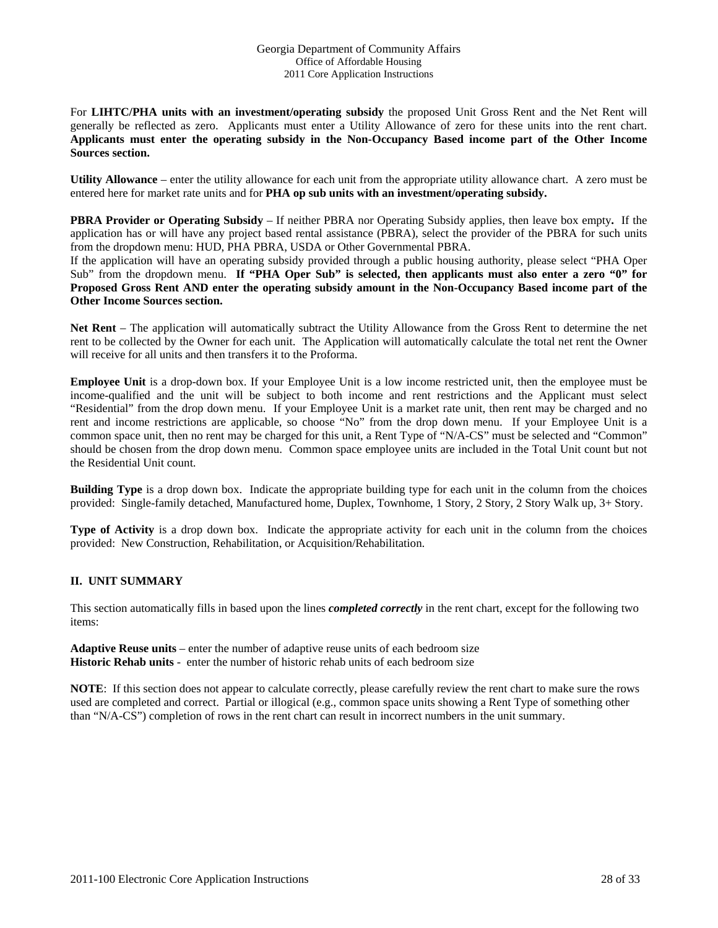For **LIHTC/PHA units with an investment/operating subsidy** the proposed Unit Gross Rent and the Net Rent will generally be reflected as zero. Applicants must enter a Utility Allowance of zero for these units into the rent chart. **Applicants must enter the operating subsidy in the Non-Occupancy Based income part of the Other Income Sources section.** 

**Utility Allowance** – enter the utility allowance for each unit from the appropriate utility allowance chart. A zero must be entered here for market rate units and for **PHA op sub units with an investment/operating subsidy.**

**PBRA Provider or Operating Subsidy** – If neither PBRA nor Operating Subsidy applies, then leave box empty**.** If the application has or will have any project based rental assistance (PBRA), select the provider of the PBRA for such units from the dropdown menu: HUD, PHA PBRA, USDA or Other Governmental PBRA.

If the application will have an operating subsidy provided through a public housing authority, please select "PHA Oper Sub" from the dropdown menu. **If "PHA Oper Sub" is selected, then applicants must also enter a zero "0" for Proposed Gross Rent AND enter the operating subsidy amount in the Non-Occupancy Based income part of the Other Income Sources section.** 

**Net Rent** – The application will automatically subtract the Utility Allowance from the Gross Rent to determine the net rent to be collected by the Owner for each unit. The Application will automatically calculate the total net rent the Owner will receive for all units and then transfers it to the Proforma.

**Employee Unit** is a drop-down box. If your Employee Unit is a low income restricted unit, then the employee must be income-qualified and the unit will be subject to both income and rent restrictions and the Applicant must select "Residential" from the drop down menu. If your Employee Unit is a market rate unit, then rent may be charged and no rent and income restrictions are applicable, so choose "No" from the drop down menu. If your Employee Unit is a common space unit, then no rent may be charged for this unit, a Rent Type of "N/A-CS" must be selected and "Common" should be chosen from the drop down menu. Common space employee units are included in the Total Unit count but not the Residential Unit count.

**Building Type** is a drop down box. Indicate the appropriate building type for each unit in the column from the choices provided: Single-family detached, Manufactured home, Duplex, Townhome, 1 Story, 2 Story, 2 Story Walk up, 3+ Story.

**Type of Activity** is a drop down box. Indicate the appropriate activity for each unit in the column from the choices provided: New Construction, Rehabilitation, or Acquisition/Rehabilitation.

#### **II. UNIT SUMMARY**

This section automatically fills in based upon the lines *completed correctly* in the rent chart, except for the following two items:

**Adaptive Reuse units** – enter the number of adaptive reuse units of each bedroom size **Historic Rehab units** - enter the number of historic rehab units of each bedroom size

**NOTE**: If this section does not appear to calculate correctly, please carefully review the rent chart to make sure the rows used are completed and correct. Partial or illogical (e.g., common space units showing a Rent Type of something other than "N/A-CS") completion of rows in the rent chart can result in incorrect numbers in the unit summary.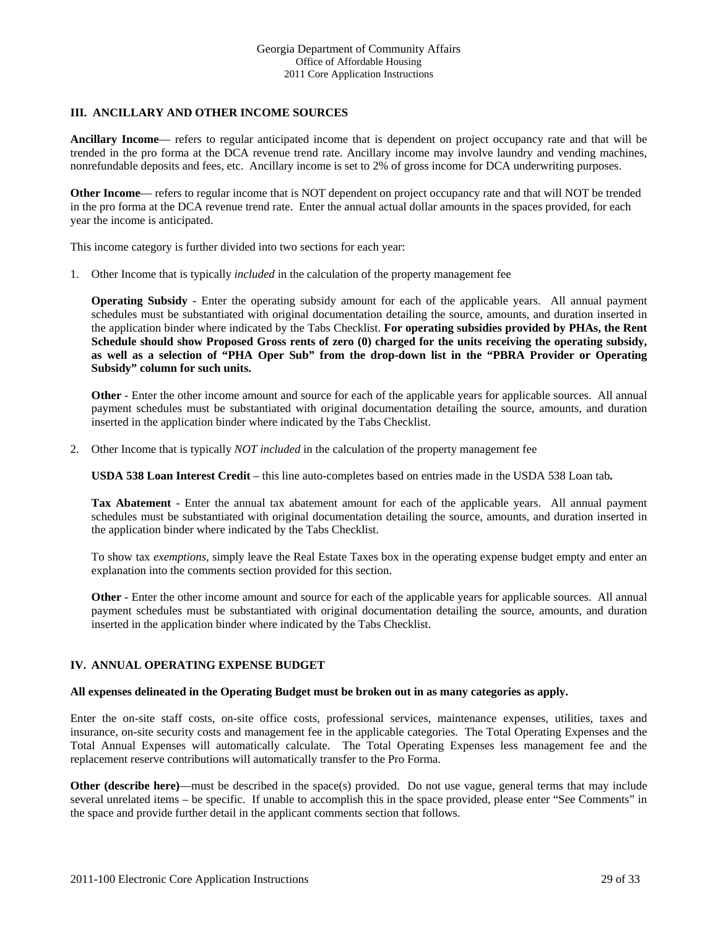#### **III. ANCILLARY AND OTHER INCOME SOURCES**

**Ancillary Income**— refers to regular anticipated income that is dependent on project occupancy rate and that will be trended in the pro forma at the DCA revenue trend rate. Ancillary income may involve laundry and vending machines, nonrefundable deposits and fees, etc. Ancillary income is set to 2% of gross income for DCA underwriting purposes.

**Other Income**— refers to regular income that is NOT dependent on project occupancy rate and that will NOT be trended in the pro forma at the DCA revenue trend rate. Enter the annual actual dollar amounts in the spaces provided, for each year the income is anticipated.

This income category is further divided into two sections for each year:

1. Other Income that is typically *included* in the calculation of the property management fee

**Operating Subsidy** - Enter the operating subsidy amount for each of the applicable years. All annual payment schedules must be substantiated with original documentation detailing the source, amounts, and duration inserted in the application binder where indicated by the Tabs Checklist. **For operating subsidies provided by PHAs, the Rent Schedule should show Proposed Gross rents of zero (0) charged for the units receiving the operating subsidy, as well as a selection of "PHA Oper Sub" from the drop-down list in the "PBRA Provider or Operating Subsidy" column for such units.**

**Other** - Enter the other income amount and source for each of the applicable years for applicable sources. All annual payment schedules must be substantiated with original documentation detailing the source, amounts, and duration inserted in the application binder where indicated by the Tabs Checklist.

2. Other Income that is typically *NOT included* in the calculation of the property management fee

**USDA 538 Loan Interest Credit** – this line auto-completes based on entries made in the USDA 538 Loan tab**.**

**Tax Abatement** - Enter the annual tax abatement amount for each of the applicable years. All annual payment schedules must be substantiated with original documentation detailing the source, amounts, and duration inserted in the application binder where indicated by the Tabs Checklist.

To show tax *exemptions*, simply leave the Real Estate Taxes box in the operating expense budget empty and enter an explanation into the comments section provided for this section.

**Other** - Enter the other income amount and source for each of the applicable years for applicable sources. All annual payment schedules must be substantiated with original documentation detailing the source, amounts, and duration inserted in the application binder where indicated by the Tabs Checklist.

#### **IV. ANNUAL OPERATING EXPENSE BUDGET**

#### **All expenses delineated in the Operating Budget must be broken out in as many categories as apply.**

Enter the on-site staff costs, on-site office costs, professional services, maintenance expenses, utilities, taxes and insurance, on-site security costs and management fee in the applicable categories. The Total Operating Expenses and the Total Annual Expenses will automatically calculate. The Total Operating Expenses less management fee and the replacement reserve contributions will automatically transfer to the Pro Forma.

**Other (describe here)—must be described in the space(s) provided. Do not use vague, general terms that may include** several unrelated items – be specific. If unable to accomplish this in the space provided, please enter "See Comments" in the space and provide further detail in the applicant comments section that follows.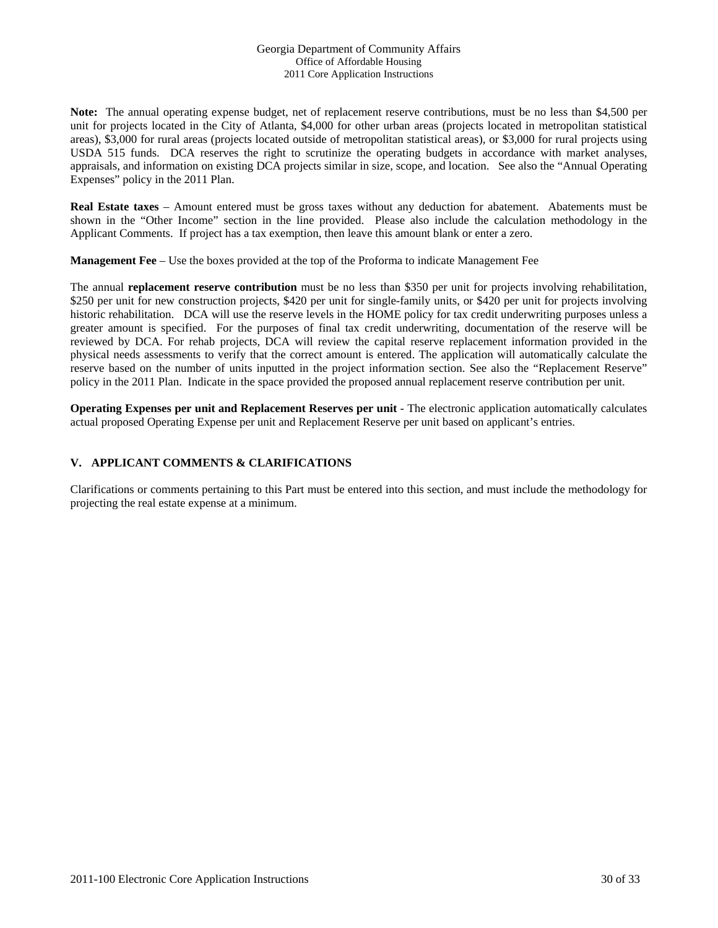**Note:** The annual operating expense budget, net of replacement reserve contributions, must be no less than \$4,500 per unit for projects located in the City of Atlanta, \$4,000 for other urban areas (projects located in metropolitan statistical areas), \$3,000 for rural areas (projects located outside of metropolitan statistical areas), or \$3,000 for rural projects using USDA 515 funds. DCA reserves the right to scrutinize the operating budgets in accordance with market analyses, appraisals, and information on existing DCA projects similar in size, scope, and location. See also the "Annual Operating Expenses" policy in the 2011 Plan.

**Real Estate taxes** – Amount entered must be gross taxes without any deduction for abatement. Abatements must be shown in the "Other Income" section in the line provided. Please also include the calculation methodology in the Applicant Comments. If project has a tax exemption, then leave this amount blank or enter a zero.

**Management Fee** – Use the boxes provided at the top of the Proforma to indicate Management Fee

The annual **replacement reserve contribution** must be no less than \$350 per unit for projects involving rehabilitation, \$250 per unit for new construction projects, \$420 per unit for single-family units, or \$420 per unit for projects involving historic rehabilitation. DCA will use the reserve levels in the HOME policy for tax credit underwriting purposes unless a greater amount is specified. For the purposes of final tax credit underwriting, documentation of the reserve will be reviewed by DCA. For rehab projects, DCA will review the capital reserve replacement information provided in the physical needs assessments to verify that the correct amount is entered. The application will automatically calculate the reserve based on the number of units inputted in the project information section. See also the "Replacement Reserve" policy in the 2011 Plan. Indicate in the space provided the proposed annual replacement reserve contribution per unit.

**Operating Expenses per unit and Replacement Reserves per unit** - The electronic application automatically calculates actual proposed Operating Expense per unit and Replacement Reserve per unit based on applicant's entries.

### **V. APPLICANT COMMENTS & CLARIFICATIONS**

Clarifications or comments pertaining to this Part must be entered into this section, and must include the methodology for projecting the real estate expense at a minimum.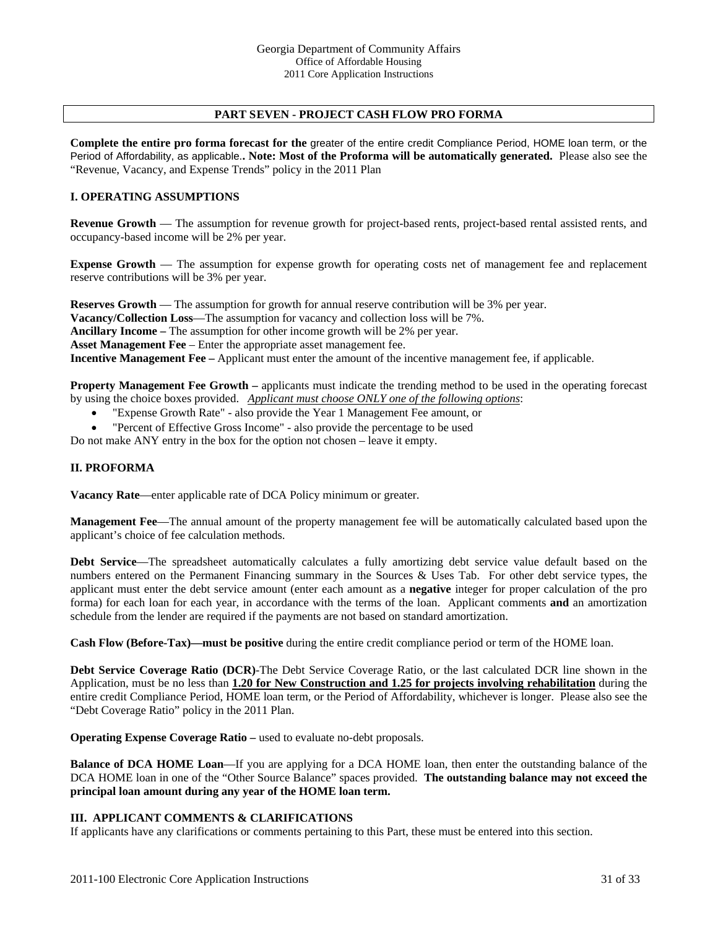### **PART SEVEN - PROJECT CASH FLOW PRO FORMA**

**Complete the entire pro forma forecast for the** greater of the entire credit Compliance Period, HOME loan term, or the Period of Affordability, as applicable.**. Note: Most of the Proforma will be automatically generated.** Please also see the "Revenue, Vacancy, and Expense Trends" policy in the 2011 Plan

#### **I. OPERATING ASSUMPTIONS**

**Revenue Growth** — The assumption for revenue growth for project-based rents, project-based rental assisted rents, and occupancy-based income will be 2% per year.

**Expense Growth** — The assumption for expense growth for operating costs net of management fee and replacement reserve contributions will be 3% per year.

**Reserves Growth** — The assumption for growth for annual reserve contribution will be 3% per year. **Vacancy/Collection Loss**—The assumption for vacancy and collection loss will be 7%. **Ancillary Income –** The assumption for other income growth will be 2% per year. **Asset Management Fee** – Enter the appropriate asset management fee. **Incentive Management Fee –** Applicant must enter the amount of the incentive management fee, if applicable.

**Property Management Fee Growth – applicants must indicate the trending method to be used in the operating forecast** by using the choice boxes provided. *Applicant must choose ONLY one of the following options*:

- "Expense Growth Rate" also provide the Year 1 Management Fee amount, or
- "Percent of Effective Gross Income" also provide the percentage to be used

Do not make ANY entry in the box for the option not chosen – leave it empty.

#### **II. PROFORMA**

**Vacancy Rate**—enter applicable rate of DCA Policy minimum or greater.

**Management Fee**—The annual amount of the property management fee will be automatically calculated based upon the applicant's choice of fee calculation methods.

**Debt Service**—The spreadsheet automatically calculates a fully amortizing debt service value default based on the numbers entered on the Permanent Financing summary in the Sources & Uses Tab. For other debt service types, the applicant must enter the debt service amount (enter each amount as a **negative** integer for proper calculation of the pro forma) for each loan for each year, in accordance with the terms of the loan. Applicant comments **and** an amortization schedule from the lender are required if the payments are not based on standard amortization.

**Cash Flow (Before-Tax)—must be positive** during the entire credit compliance period or term of the HOME loan.

**Debt Service Coverage Ratio (DCR)**-The Debt Service Coverage Ratio, or the last calculated DCR line shown in the Application, must be no less than **1.20 for New Construction and 1.25 for projects involving rehabilitation** during the entire credit Compliance Period, HOME loan term, or the Period of Affordability, whichever is longer. Please also see the "Debt Coverage Ratio" policy in the 2011 Plan.

**Operating Expense Coverage Ratio** – used to evaluate no-debt proposals.

**Balance of DCA HOME Loan—If** you are applying for a DCA HOME loan, then enter the outstanding balance of the DCA HOME loan in one of the "Other Source Balance" spaces provided. **The outstanding balance may not exceed the principal loan amount during any year of the HOME loan term.** 

#### **III. APPLICANT COMMENTS & CLARIFICATIONS**

If applicants have any clarifications or comments pertaining to this Part, these must be entered into this section.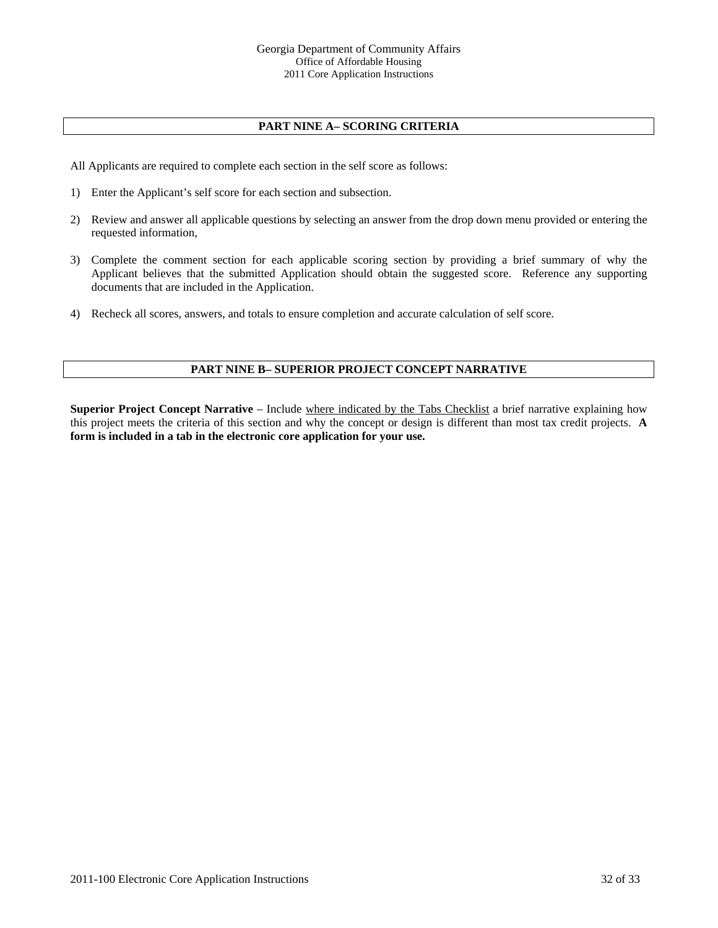# **PART NINE A– SCORING CRITERIA**

All Applicants are required to complete each section in the self score as follows:

- 1) Enter the Applicant's self score for each section and subsection.
- 2) Review and answer all applicable questions by selecting an answer from the drop down menu provided or entering the requested information,
- 3) Complete the comment section for each applicable scoring section by providing a brief summary of why the Applicant believes that the submitted Application should obtain the suggested score. Reference any supporting documents that are included in the Application.
- 4) Recheck all scores, answers, and totals to ensure completion and accurate calculation of self score.

## **PART NINE B– SUPERIOR PROJECT CONCEPT NARRATIVE**

**Superior Project Concept Narrative** – Include where indicated by the Tabs Checklist a brief narrative explaining how this project meets the criteria of this section and why the concept or design is different than most tax credit projects. **A form is included in a tab in the electronic core application for your use.**